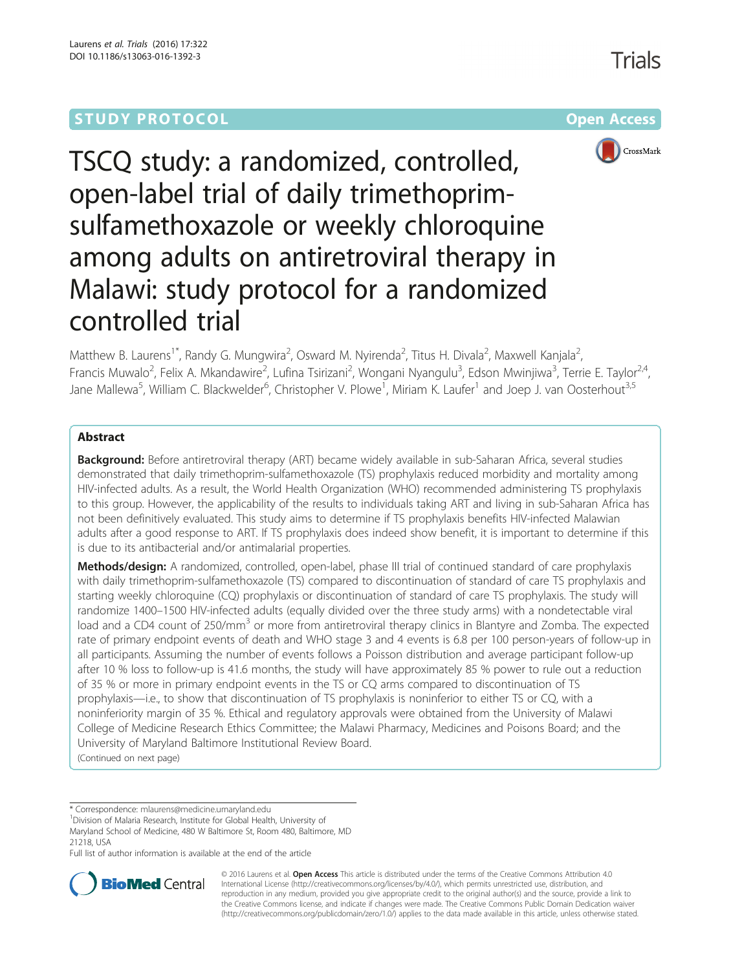# **STUDY PROTOCOL CONSUMING THE RESERVE ACCESS**



TSCQ study: a randomized, controlled, open-label trial of daily trimethoprimsulfamethoxazole or weekly chloroquine among adults on antiretroviral therapy in Malawi: study protocol for a randomized controlled trial

Matthew B. Laurens<sup>1\*</sup>, Randy G. Mungwira<sup>2</sup>, Osward M. Nyirenda<sup>2</sup>, Titus H. Divala<sup>2</sup>, Maxwell Kanjala<sup>2</sup> .<br>, Francis Muwalo<sup>2</sup>, Felix A. Mkandawire<sup>2</sup>, Lufina Tsirizani<sup>2</sup>, Wongani Nyangulu<sup>3</sup>, Edson Mwinjiwa<sup>3</sup>, Terrie E. Taylor<sup>2,4</sup>, Jane Mallewa<sup>5</sup>, William C. Blackwelder<sup>6</sup>, Christopher V. Plowe<sup>1</sup>, Miriam K. Laufer<sup>1</sup> and Joep J. van Oosterhout<sup>3,5</sup>

## Abstract

**Background:** Before antiretroviral therapy (ART) became widely available in sub-Saharan Africa, several studies demonstrated that daily trimethoprim-sulfamethoxazole (TS) prophylaxis reduced morbidity and mortality among HIV-infected adults. As a result, the World Health Organization (WHO) recommended administering TS prophylaxis to this group. However, the applicability of the results to individuals taking ART and living in sub-Saharan Africa has not been definitively evaluated. This study aims to determine if TS prophylaxis benefits HIV-infected Malawian adults after a good response to ART. If TS prophylaxis does indeed show benefit, it is important to determine if this is due to its antibacterial and/or antimalarial properties.

Methods/design: A randomized, controlled, open-label, phase III trial of continued standard of care prophylaxis with daily trimethoprim-sulfamethoxazole (TS) compared to discontinuation of standard of care TS prophylaxis and starting weekly chloroquine (CQ) prophylaxis or discontinuation of standard of care TS prophylaxis. The study will randomize 1400–1500 HIV-infected adults (equally divided over the three study arms) with a nondetectable viral load and a CD4 count of 250/mm<sup>3</sup> or more from antiretroviral therapy clinics in Blantyre and Zomba. The expected rate of primary endpoint events of death and WHO stage 3 and 4 events is 6.8 per 100 person-years of follow-up in all participants. Assuming the number of events follows a Poisson distribution and average participant follow-up after 10 % loss to follow-up is 41.6 months, the study will have approximately 85 % power to rule out a reduction of 35 % or more in primary endpoint events in the TS or CQ arms compared to discontinuation of TS prophylaxis—i.e., to show that discontinuation of TS prophylaxis is noninferior to either TS or CQ, with a noninferiority margin of 35 %. Ethical and regulatory approvals were obtained from the University of Malawi College of Medicine Research Ethics Committee; the Malawi Pharmacy, Medicines and Poisons Board; and the University of Maryland Baltimore Institutional Review Board.

(Continued on next page)

\* Correspondence: [mlaurens@medicine.umaryland.edu](mailto:mlaurens@medicine.umaryland.edu) <sup>1</sup>

<sup>1</sup> Division of Malaria Research, Institute for Global Health, University of

Maryland School of Medicine, 480 W Baltimore St, Room 480, Baltimore, MD 21218, USA

Full list of author information is available at the end of the article



© 2016 Laurens et al. Open Access This article is distributed under the terms of the Creative Commons Attribution 4.0 International License [\(http://creativecommons.org/licenses/by/4.0/](http://creativecommons.org/licenses/by/4.0/)), which permits unrestricted use, distribution, and reproduction in any medium, provided you give appropriate credit to the original author(s) and the source, provide a link to the Creative Commons license, and indicate if changes were made. The Creative Commons Public Domain Dedication waiver [\(http://creativecommons.org/publicdomain/zero/1.0/](http://creativecommons.org/publicdomain/zero/1.0/)) applies to the data made available in this article, unless otherwise stated.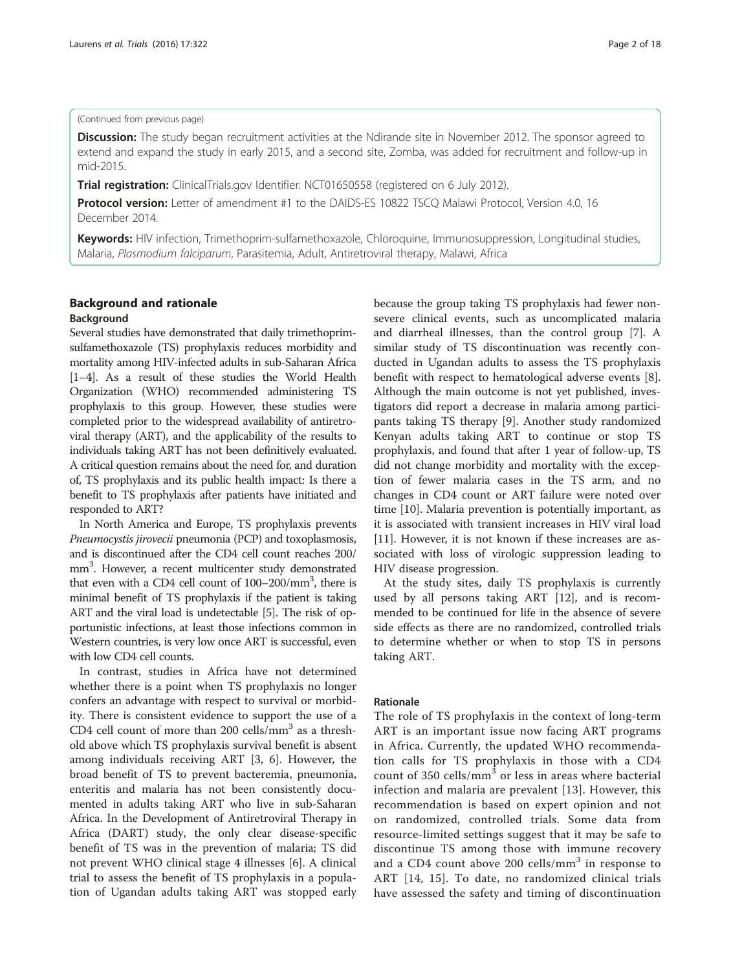## (Continued from previous page)

**Discussion:** The study began recruitment activities at the Ndirande site in November 2012. The sponsor agreed to extend and expand the study in early 2015, and a second site, Zomba, was added for recruitment and follow-up in mid-2015.

Trial registration: ClinicalTrials.gov Identifier: [NCT01650558](https://clinicaltrials.gov/ct2/show/NCT01650558) (registered on 6 July 2012).

Protocol version: Letter of amendment #1 to the DAIDS-ES 10822 TSCQ Malawi Protocol, Version 4.0, 16 December 2014.

Keywords: HIV infection, Trimethoprim-sulfamethoxazole, Chloroquine, Immunosuppression, Longitudinal studies, Malaria, Plasmodium falciparum, Parasitemia, Adult, Antiretroviral therapy, Malawi, Africa

## Background and rationale

## Background

Several studies have demonstrated that daily trimethoprimsulfamethoxazole (TS) prophylaxis reduces morbidity and mortality among HIV-infected adults in sub-Saharan Africa [[1](#page-16-0)–[4\]](#page-16-0). As a result of these studies the World Health Organization (WHO) recommended administering TS prophylaxis to this group. However, these studies were completed prior to the widespread availability of antiretroviral therapy (ART), and the applicability of the results to individuals taking ART has not been definitively evaluated. A critical question remains about the need for, and duration of, TS prophylaxis and its public health impact: Is there a benefit to TS prophylaxis after patients have initiated and responded to ART?

In North America and Europe, TS prophylaxis prevents Pneumocystis jirovecii pneumonia (PCP) and toxoplasmosis, and is discontinued after the CD4 cell count reaches 200/ mm3 . However, a recent multicenter study demonstrated that even with a CD4 cell count of 100–200/mm<sup>3</sup>, there is minimal benefit of TS prophylaxis if the patient is taking ART and the viral load is undetectable [[5](#page-16-0)]. The risk of opportunistic infections, at least those infections common in Western countries, is very low once ART is successful, even with low CD4 cell counts.

In contrast, studies in Africa have not determined whether there is a point when TS prophylaxis no longer confers an advantage with respect to survival or morbidity. There is consistent evidence to support the use of a CD4 cell count of more than 200 cells/ $mm<sup>3</sup>$  as a threshold above which TS prophylaxis survival benefit is absent among individuals receiving ART [[3](#page-16-0), [6](#page-16-0)]. However, the broad benefit of TS to prevent bacteremia, pneumonia, enteritis and malaria has not been consistently documented in adults taking ART who live in sub-Saharan Africa. In the Development of Antiretroviral Therapy in Africa (DART) study, the only clear disease-specific benefit of TS was in the prevention of malaria; TS did not prevent WHO clinical stage 4 illnesses [[6](#page-16-0)]. A clinical trial to assess the benefit of TS prophylaxis in a population of Ugandan adults taking ART was stopped early because the group taking TS prophylaxis had fewer nonsevere clinical events, such as uncomplicated malaria and diarrheal illnesses, than the control group [\[7](#page-16-0)]. A similar study of TS discontinuation was recently conducted in Ugandan adults to assess the TS prophylaxis benefit with respect to hematological adverse events [\[8](#page-16-0)]. Although the main outcome is not yet published, investigators did report a decrease in malaria among participants taking TS therapy [\[9](#page-16-0)]. Another study randomized Kenyan adults taking ART to continue or stop TS prophylaxis, and found that after 1 year of follow-up, TS did not change morbidity and mortality with the exception of fewer malaria cases in the TS arm, and no changes in CD4 count or ART failure were noted over time [\[10](#page-17-0)]. Malaria prevention is potentially important, as it is associated with transient increases in HIV viral load [[11\]](#page-17-0). However, it is not known if these increases are associated with loss of virologic suppression leading to HIV disease progression.

At the study sites, daily TS prophylaxis is currently used by all persons taking ART [[12](#page-17-0)], and is recommended to be continued for life in the absence of severe side effects as there are no randomized, controlled trials to determine whether or when to stop TS in persons taking ART.

## Rationale

The role of TS prophylaxis in the context of long-term ART is an important issue now facing ART programs in Africa. Currently, the updated WHO recommendation calls for TS prophylaxis in those with a CD4 count of  $350$  cells/mm<sup>3</sup> or less in areas where bacterial infection and malaria are prevalent [\[13\]](#page-17-0). However, this recommendation is based on expert opinion and not on randomized, controlled trials. Some data from resource-limited settings suggest that it may be safe to discontinue TS among those with immune recovery and a CD4 count above  $200$  cells/ $mm<sup>3</sup>$  in response to ART [[14, 15](#page-17-0)]. To date, no randomized clinical trials have assessed the safety and timing of discontinuation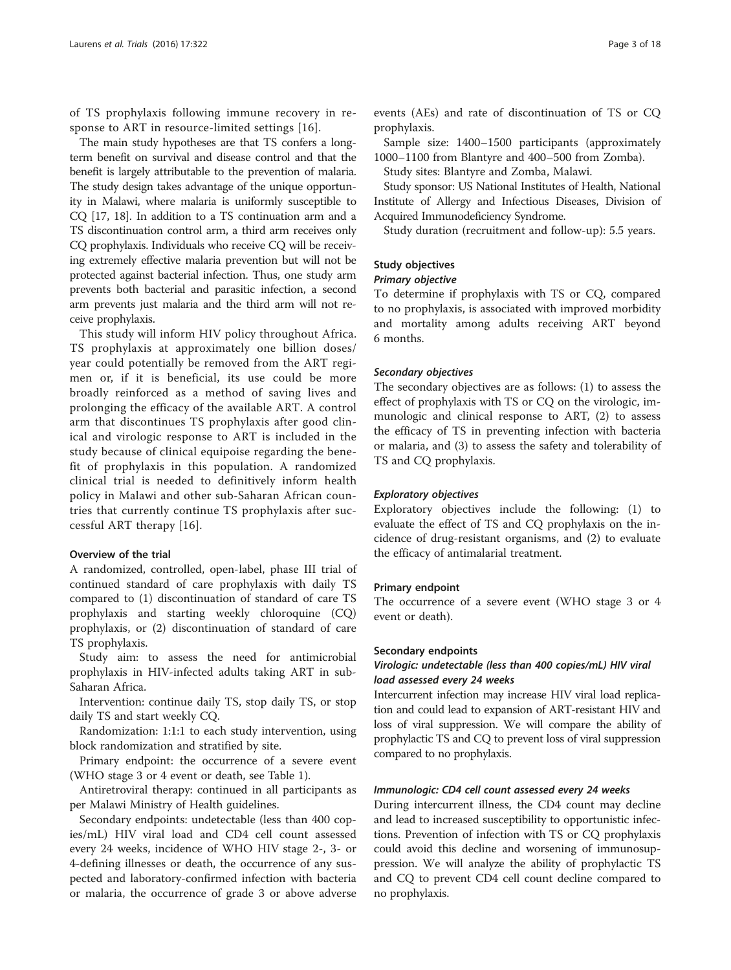of TS prophylaxis following immune recovery in response to ART in resource-limited settings [[16](#page-17-0)].

The main study hypotheses are that TS confers a longterm benefit on survival and disease control and that the benefit is largely attributable to the prevention of malaria. The study design takes advantage of the unique opportunity in Malawi, where malaria is uniformly susceptible to CQ [[17](#page-17-0), [18](#page-17-0)]. In addition to a TS continuation arm and a TS discontinuation control arm, a third arm receives only CQ prophylaxis. Individuals who receive CQ will be receiving extremely effective malaria prevention but will not be protected against bacterial infection. Thus, one study arm prevents both bacterial and parasitic infection, a second arm prevents just malaria and the third arm will not receive prophylaxis.

This study will inform HIV policy throughout Africa. TS prophylaxis at approximately one billion doses/ year could potentially be removed from the ART regimen or, if it is beneficial, its use could be more broadly reinforced as a method of saving lives and prolonging the efficacy of the available ART. A control arm that discontinues TS prophylaxis after good clinical and virologic response to ART is included in the study because of clinical equipoise regarding the benefit of prophylaxis in this population. A randomized clinical trial is needed to definitively inform health policy in Malawi and other sub-Saharan African countries that currently continue TS prophylaxis after successful ART therapy [[16](#page-17-0)].

## Overview of the trial

A randomized, controlled, open-label, phase III trial of continued standard of care prophylaxis with daily TS compared to (1) discontinuation of standard of care TS prophylaxis and starting weekly chloroquine (CQ) prophylaxis, or (2) discontinuation of standard of care TS prophylaxis.

Study aim: to assess the need for antimicrobial prophylaxis in HIV-infected adults taking ART in sub-Saharan Africa.

Intervention: continue daily TS, stop daily TS, or stop daily TS and start weekly CQ.

Randomization: 1:1:1 to each study intervention, using block randomization and stratified by site.

Primary endpoint: the occurrence of a severe event (WHO stage 3 or 4 event or death, see Table [1\)](#page-3-0).

Antiretroviral therapy: continued in all participants as per Malawi Ministry of Health guidelines.

Secondary endpoints: undetectable (less than 400 copies/mL) HIV viral load and CD4 cell count assessed every 24 weeks, incidence of WHO HIV stage 2-, 3- or 4-defining illnesses or death, the occurrence of any suspected and laboratory-confirmed infection with bacteria or malaria, the occurrence of grade 3 or above adverse events (AEs) and rate of discontinuation of TS or CQ prophylaxis.

Sample size: 1400–1500 participants (approximately 1000–1100 from Blantyre and 400–500 from Zomba).

Study sites: Blantyre and Zomba, Malawi.

Study sponsor: US National Institutes of Health, National Institute of Allergy and Infectious Diseases, Division of Acquired Immunodeficiency Syndrome.

Study duration (recruitment and follow-up): 5.5 years.

## Study objectives

## Primary objective

To determine if prophylaxis with TS or CQ, compared to no prophylaxis, is associated with improved morbidity and mortality among adults receiving ART beyond 6 months.

#### Secondary objectives

The secondary objectives are as follows: (1) to assess the effect of prophylaxis with TS or CQ on the virologic, immunologic and clinical response to ART, (2) to assess the efficacy of TS in preventing infection with bacteria or malaria, and (3) to assess the safety and tolerability of TS and CQ prophylaxis.

#### Exploratory objectives

Exploratory objectives include the following: (1) to evaluate the effect of TS and CQ prophylaxis on the incidence of drug-resistant organisms, and (2) to evaluate the efficacy of antimalarial treatment.

#### Primary endpoint

The occurrence of a severe event (WHO stage 3 or 4 event or death).

#### Secondary endpoints

## Virologic: undetectable (less than 400 copies/mL) HIV viral load assessed every 24 weeks

Intercurrent infection may increase HIV viral load replication and could lead to expansion of ART-resistant HIV and loss of viral suppression. We will compare the ability of prophylactic TS and CQ to prevent loss of viral suppression compared to no prophylaxis.

## Immunologic: CD4 cell count assessed every 24 weeks

During intercurrent illness, the CD4 count may decline and lead to increased susceptibility to opportunistic infections. Prevention of infection with TS or CQ prophylaxis could avoid this decline and worsening of immunosuppression. We will analyze the ability of prophylactic TS and CQ to prevent CD4 cell count decline compared to no prophylaxis.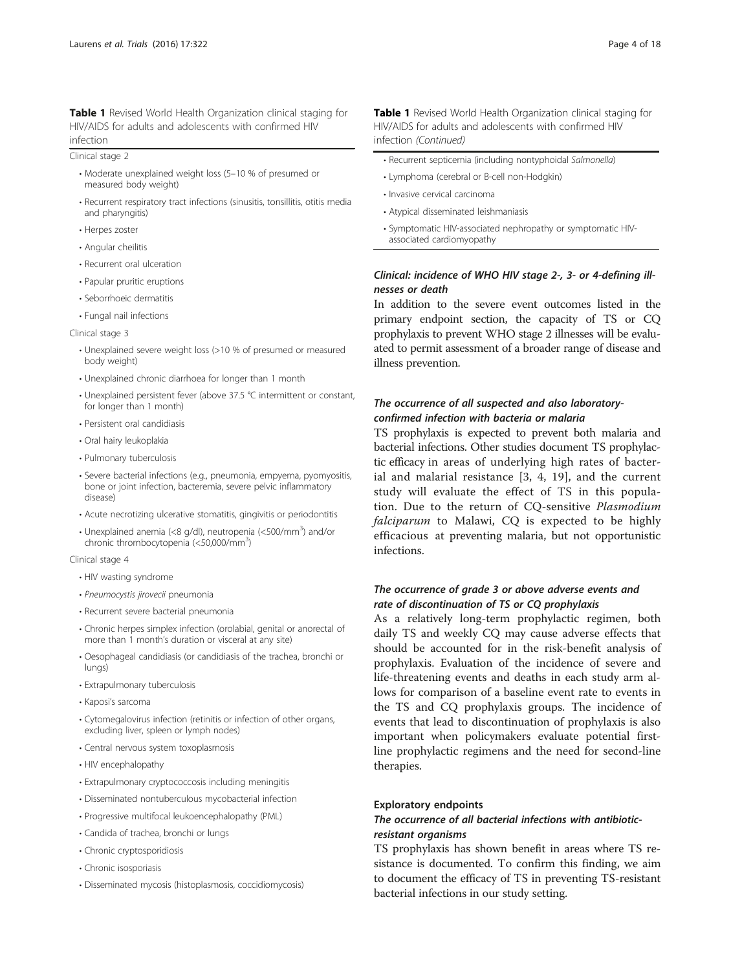<span id="page-3-0"></span>Table 1 Revised World Health Organization clinical staging for HIV/AIDS for adults and adolescents with confirmed HIV infection

Clinical stage 2

- Moderate unexplained weight loss (5–10 % of presumed or measured body weight)
- Recurrent respiratory tract infections (sinusitis, tonsillitis, otitis media and pharyngitis)
- Herpes zoster
- Angular cheilitis
- Recurrent oral ulceration
- Papular pruritic eruptions
- Seborrhoeic dermatitis
- Fungal nail infections

#### Clinical stage 3

- Unexplained severe weight loss (>10 % of presumed or measured body weight)
- Unexplained chronic diarrhoea for longer than 1 month
- Unexplained persistent fever (above 37.5 °C intermittent or constant, for longer than 1 month)
- Persistent oral candidiasis
- Oral hairy leukoplakia
- Pulmonary tuberculosis
- Severe bacterial infections (e.g., pneumonia, empyema, pyomyositis, bone or joint infection, bacteremia, severe pelvic inflammatory disease)
- Acute necrotizing ulcerative stomatitis, gingivitis or periodontitis
- Unexplained anemia (<8 g/dl), neutropenia (<500/mm<sup>3</sup>) and/or chronic thrombocytopenia (<50,000/mm<sup>3</sup>)

Clinical stage 4

- HIV wasting syndrome
- Pneumocystis jirovecii pneumonia
- Recurrent severe bacterial pneumonia
- Chronic herpes simplex infection (orolabial, genital or anorectal of more than 1 month's duration or visceral at any site)
- Oesophageal candidiasis (or candidiasis of the trachea, bronchi or lungs)
- Extrapulmonary tuberculosis
- Kaposi's sarcoma
- Cytomegalovirus infection (retinitis or infection of other organs, excluding liver, spleen or lymph nodes)
- Central nervous system toxoplasmosis
- HIV encephalopathy
- Extrapulmonary cryptococcosis including meningitis
- Disseminated nontuberculous mycobacterial infection
- Progressive multifocal leukoencephalopathy (PML)
- Candida of trachea, bronchi or lungs
- Chronic cryptosporidiosis
- Chronic isosporiasis
- Disseminated mycosis (histoplasmosis, coccidiomycosis)

Table 1 Revised World Health Organization clinical staging for HIV/AIDS for adults and adolescents with confirmed HIV infection (Continued)

- Recurrent septicemia (including nontyphoidal Salmonella)
- Lymphoma (cerebral or B-cell non-Hodgkin)
- Invasive cervical carcinoma
- Atypical disseminated leishmaniasis
- Symptomatic HIV-associated nephropathy or symptomatic HIVassociated cardiomyopathy

## Clinical: incidence of WHO HIV stage 2-, 3- or 4-defining illnesses or death

In addition to the severe event outcomes listed in the primary endpoint section, the capacity of TS or CQ prophylaxis to prevent WHO stage 2 illnesses will be evaluated to permit assessment of a broader range of disease and illness prevention.

## The occurrence of all suspected and also laboratoryconfirmed infection with bacteria or malaria

TS prophylaxis is expected to prevent both malaria and bacterial infections. Other studies document TS prophylactic efficacy in areas of underlying high rates of bacterial and malarial resistance [\[3](#page-16-0), [4](#page-16-0), [19\]](#page-17-0), and the current study will evaluate the effect of TS in this population. Due to the return of CQ-sensitive Plasmodium falciparum to Malawi, CQ is expected to be highly efficacious at preventing malaria, but not opportunistic infections.

## The occurrence of grade 3 or above adverse events and rate of discontinuation of TS or CQ prophylaxis

As a relatively long-term prophylactic regimen, both daily TS and weekly CQ may cause adverse effects that should be accounted for in the risk-benefit analysis of prophylaxis. Evaluation of the incidence of severe and life-threatening events and deaths in each study arm allows for comparison of a baseline event rate to events in the TS and CQ prophylaxis groups. The incidence of events that lead to discontinuation of prophylaxis is also important when policymakers evaluate potential firstline prophylactic regimens and the need for second-line therapies.

#### Exploratory endpoints

## The occurrence of all bacterial infections with antibioticresistant organisms

TS prophylaxis has shown benefit in areas where TS resistance is documented. To confirm this finding, we aim to document the efficacy of TS in preventing TS-resistant bacterial infections in our study setting.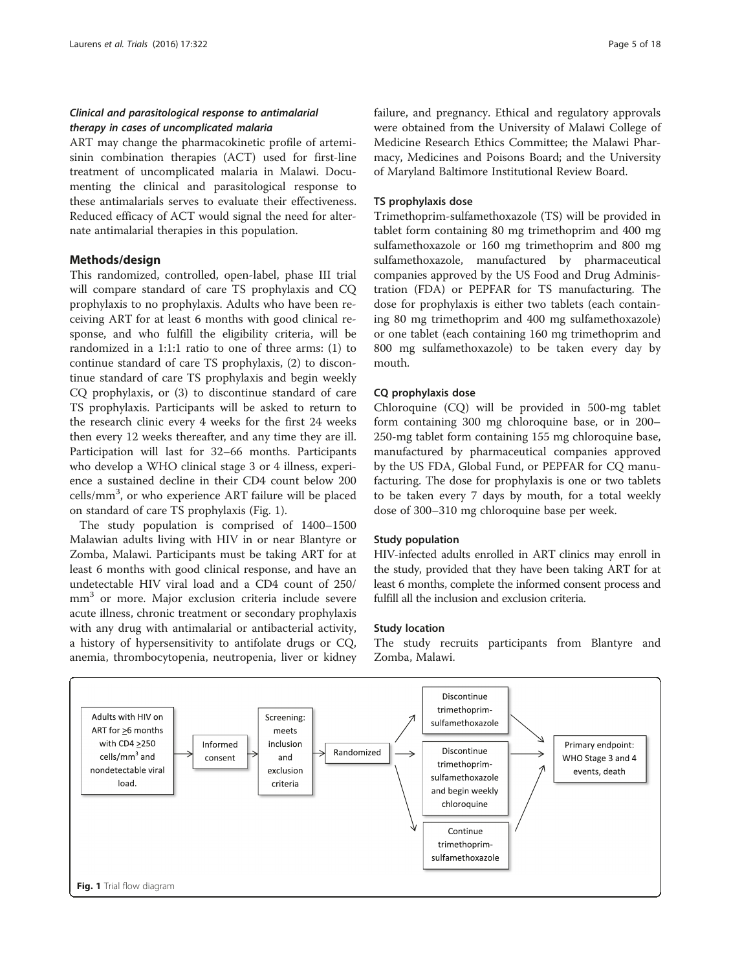## Clinical and parasitological response to antimalarial therapy in cases of uncomplicated malaria

ART may change the pharmacokinetic profile of artemisinin combination therapies (ACT) used for first-line treatment of uncomplicated malaria in Malawi. Documenting the clinical and parasitological response to these antimalarials serves to evaluate their effectiveness. Reduced efficacy of ACT would signal the need for alternate antimalarial therapies in this population.

## Methods/design

This randomized, controlled, open-label, phase III trial will compare standard of care TS prophylaxis and CQ prophylaxis to no prophylaxis. Adults who have been receiving ART for at least 6 months with good clinical response, and who fulfill the eligibility criteria, will be randomized in a 1:1:1 ratio to one of three arms: (1) to continue standard of care TS prophylaxis, (2) to discontinue standard of care TS prophylaxis and begin weekly CQ prophylaxis, or (3) to discontinue standard of care TS prophylaxis. Participants will be asked to return to the research clinic every 4 weeks for the first 24 weeks then every 12 weeks thereafter, and any time they are ill. Participation will last for 32–66 months. Participants who develop a WHO clinical stage 3 or 4 illness, experience a sustained decline in their CD4 count below 200 cells/mm<sup>3</sup>, or who experience ART failure will be placed on standard of care TS prophylaxis (Fig. 1).

The study population is comprised of 1400–1500 Malawian adults living with HIV in or near Blantyre or Zomba, Malawi. Participants must be taking ART for at least 6 months with good clinical response, and have an undetectable HIV viral load and a CD4 count of 250/ mm<sup>3</sup> or more. Major exclusion criteria include severe acute illness, chronic treatment or secondary prophylaxis with any drug with antimalarial or antibacterial activity, a history of hypersensitivity to antifolate drugs or CQ, anemia, thrombocytopenia, neutropenia, liver or kidney failure, and pregnancy. Ethical and regulatory approvals were obtained from the University of Malawi College of Medicine Research Ethics Committee; the Malawi Pharmacy, Medicines and Poisons Board; and the University of Maryland Baltimore Institutional Review Board.

## TS prophylaxis dose

Trimethoprim-sulfamethoxazole (TS) will be provided in tablet form containing 80 mg trimethoprim and 400 mg sulfamethoxazole or 160 mg trimethoprim and 800 mg sulfamethoxazole, manufactured by pharmaceutical companies approved by the US Food and Drug Administration (FDA) or PEPFAR for TS manufacturing. The dose for prophylaxis is either two tablets (each containing 80 mg trimethoprim and 400 mg sulfamethoxazole) or one tablet (each containing 160 mg trimethoprim and 800 mg sulfamethoxazole) to be taken every day by mouth.

## CQ prophylaxis dose

Chloroquine (CQ) will be provided in 500-mg tablet form containing 300 mg chloroquine base, or in 200– 250-mg tablet form containing 155 mg chloroquine base, manufactured by pharmaceutical companies approved by the US FDA, Global Fund, or PEPFAR for CQ manufacturing. The dose for prophylaxis is one or two tablets to be taken every 7 days by mouth, for a total weekly dose of 300–310 mg chloroquine base per week.

## Study population

HIV-infected adults enrolled in ART clinics may enroll in the study, provided that they have been taking ART for at least 6 months, complete the informed consent process and fulfill all the inclusion and exclusion criteria.

## Study location

The study recruits participants from Blantyre and Zomba, Malawi.

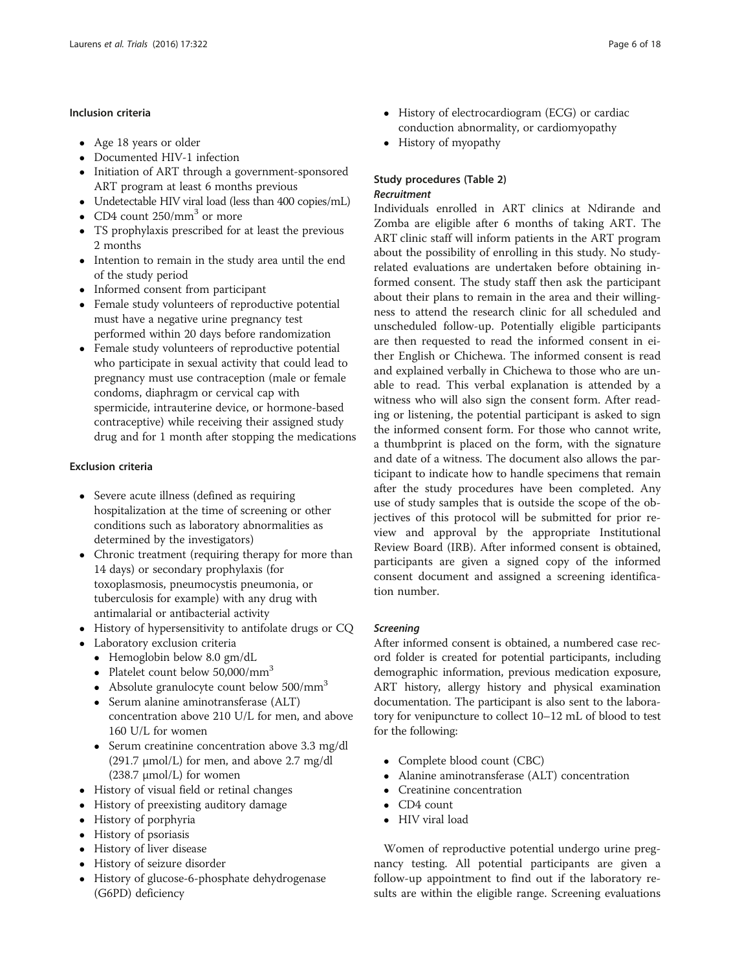## Inclusion criteria

- Age 18 years or older
- Documented HIV-1 infection
- Initiation of ART through a government-sponsored ART program at least 6 months previous
- Undetectable HIV viral load (less than 400 copies/mL)
- CD4 count  $250/mm^3$  or more
- TS prophylaxis prescribed for at least the previous 2 months
- Intention to remain in the study area until the end of the study period
- Informed consent from participant
- Female study volunteers of reproductive potential must have a negative urine pregnancy test performed within 20 days before randomization
- Female study volunteers of reproductive potential who participate in sexual activity that could lead to pregnancy must use contraception (male or female condoms, diaphragm or cervical cap with spermicide, intrauterine device, or hormone-based contraceptive) while receiving their assigned study drug and for 1 month after stopping the medications

## Exclusion criteria

- Severe acute illness (defined as requiring hospitalization at the time of screening or other conditions such as laboratory abnormalities as determined by the investigators)
- Chronic treatment (requiring therapy for more than 14 days) or secondary prophylaxis (for toxoplasmosis, pneumocystis pneumonia, or tuberculosis for example) with any drug with antimalarial or antibacterial activity
- History of hypersensitivity to antifolate drugs or CQ
- Laboratory exclusion criteria
	- Hemoglobin below 8.0 gm/dL
	- Platelet count below  $50,000/\text{mm}^3$
	- Absolute granulocyte count below  $500/mm^3$
	- Serum alanine aminotransferase (ALT) concentration above 210 U/L for men, and above 160 U/L for women
	- Serum creatinine concentration above 3.3 mg/dl (291.7 μmol/L) for men, and above 2.7 mg/dl ( $238.7 \mu$ mol/L) for women
- History of visual field or retinal changes
- History of preexisting auditory damage
- History of porphyria
- History of psoriasis
- History of liver disease
- History of seizure disorder
- History of glucose-6-phosphate dehydrogenase (G6PD) deficiency
- History of electrocardiogram (ECG) or cardiac conduction abnormality, or cardiomyopathy
- History of myopathy

## Study procedures (Table [2](#page-6-0)) Recruitment

Individuals enrolled in ART clinics at Ndirande and Zomba are eligible after 6 months of taking ART. The ART clinic staff will inform patients in the ART program about the possibility of enrolling in this study. No studyrelated evaluations are undertaken before obtaining informed consent. The study staff then ask the participant about their plans to remain in the area and their willingness to attend the research clinic for all scheduled and unscheduled follow-up. Potentially eligible participants are then requested to read the informed consent in either English or Chichewa. The informed consent is read and explained verbally in Chichewa to those who are unable to read. This verbal explanation is attended by a witness who will also sign the consent form. After reading or listening, the potential participant is asked to sign the informed consent form. For those who cannot write, a thumbprint is placed on the form, with the signature and date of a witness. The document also allows the participant to indicate how to handle specimens that remain after the study procedures have been completed. Any use of study samples that is outside the scope of the objectives of this protocol will be submitted for prior review and approval by the appropriate Institutional Review Board (IRB). After informed consent is obtained, participants are given a signed copy of the informed consent document and assigned a screening identification number.

## Screening

After informed consent is obtained, a numbered case record folder is created for potential participants, including demographic information, previous medication exposure, ART history, allergy history and physical examination documentation. The participant is also sent to the laboratory for venipuncture to collect 10–12 mL of blood to test for the following:

- Complete blood count (CBC)
- Alanine aminotransferase (ALT) concentration
- Creatinine concentration
- CD4 count
- HIV viral load

Women of reproductive potential undergo urine pregnancy testing. All potential participants are given a follow-up appointment to find out if the laboratory results are within the eligible range. Screening evaluations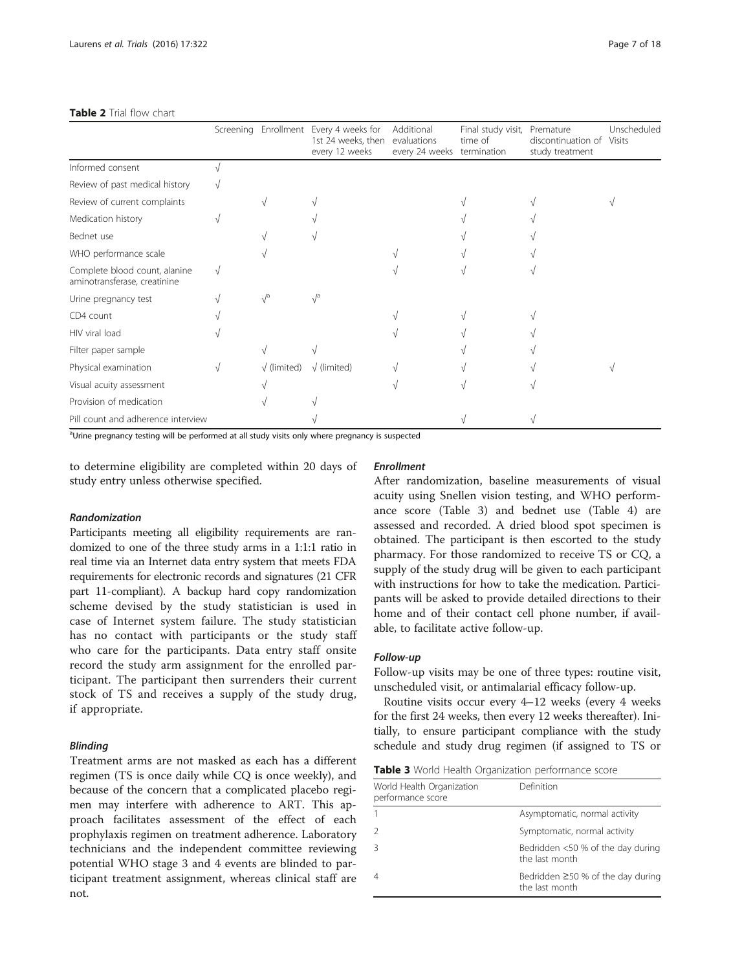## <span id="page-6-0"></span>Table 2 Trial flow chart

|                                                               |            |                     | Screening Enrollment Every 4 weeks for<br>1st 24 weeks, then<br>every 12 weeks | Additional<br>evaluations<br>every 24 weeks termination | Final study visit,<br>time of | Premature<br>discontinuation of Visits<br>study treatment | Unscheduled |
|---------------------------------------------------------------|------------|---------------------|--------------------------------------------------------------------------------|---------------------------------------------------------|-------------------------------|-----------------------------------------------------------|-------------|
| Informed consent                                              |            |                     |                                                                                |                                                         |                               |                                                           |             |
| Review of past medical history                                |            |                     |                                                                                |                                                         |                               |                                                           |             |
| Review of current complaints                                  |            |                     |                                                                                |                                                         |                               |                                                           |             |
| Medication history                                            |            |                     |                                                                                |                                                         |                               |                                                           |             |
| Bednet use                                                    |            |                     |                                                                                |                                                         |                               |                                                           |             |
| WHO performance scale                                         |            |                     |                                                                                |                                                         |                               |                                                           |             |
| Complete blood count, alanine<br>aminotransferase, creatinine |            |                     |                                                                                |                                                         |                               |                                                           |             |
| Urine pregnancy test                                          |            | $\sqrt{a}$          | $\sqrt{a}$                                                                     |                                                         |                               |                                                           |             |
| CD4 count                                                     |            |                     |                                                                                |                                                         |                               |                                                           |             |
| HIV viral load                                                |            |                     |                                                                                |                                                         |                               |                                                           |             |
| Filter paper sample                                           |            |                     |                                                                                |                                                         |                               |                                                           |             |
| Physical examination                                          | $\sqrt{ }$ | $\sqrt{}$ (limited) | $\sqrt{$ (limited)                                                             |                                                         |                               |                                                           |             |
| Visual acuity assessment                                      |            |                     |                                                                                |                                                         |                               |                                                           |             |
| Provision of medication                                       |            |                     |                                                                                |                                                         |                               |                                                           |             |
| Pill count and adherence interview                            |            |                     |                                                                                |                                                         |                               |                                                           |             |

<sup>a</sup>Urine pregnancy testing will be performed at all study visits only where pregnancy is suspected

to determine eligibility are completed within 20 days of study entry unless otherwise specified.

#### Randomization

Participants meeting all eligibility requirements are randomized to one of the three study arms in a 1:1:1 ratio in real time via an Internet data entry system that meets FDA requirements for electronic records and signatures (21 CFR part 11-compliant). A backup hard copy randomization scheme devised by the study statistician is used in case of Internet system failure. The study statistician has no contact with participants or the study staff who care for the participants. Data entry staff onsite record the study arm assignment for the enrolled participant. The participant then surrenders their current stock of TS and receives a supply of the study drug, if appropriate.

## Blinding

Treatment arms are not masked as each has a different regimen (TS is once daily while CQ is once weekly), and because of the concern that a complicated placebo regimen may interfere with adherence to ART. This approach facilitates assessment of the effect of each prophylaxis regimen on treatment adherence. Laboratory technicians and the independent committee reviewing potential WHO stage 3 and 4 events are blinded to participant treatment assignment, whereas clinical staff are not.

## Enrollment

After randomization, baseline measurements of visual acuity using Snellen vision testing, and WHO performance score (Table 3) and bednet use (Table [4](#page-7-0)) are assessed and recorded. A dried blood spot specimen is obtained. The participant is then escorted to the study pharmacy. For those randomized to receive TS or CQ, a supply of the study drug will be given to each participant with instructions for how to take the medication. Participants will be asked to provide detailed directions to their home and of their contact cell phone number, if available, to facilitate active follow-up.

### Follow-up

Follow-up visits may be one of three types: routine visit, unscheduled visit, or antimalarial efficacy follow-up.

Routine visits occur every 4–12 weeks (every 4 weeks for the first 24 weeks, then every 12 weeks thereafter). Initially, to ensure participant compliance with the study schedule and study drug regimen (if assigned to TS or

| World Health Organization<br>performance score | Definition                                                |
|------------------------------------------------|-----------------------------------------------------------|
|                                                | Asymptomatic, normal activity                             |
|                                                | Symptomatic, normal activity                              |
|                                                | Bedridden <50 % of the day during<br>the last month       |
| $\overline{4}$                                 | Bedridden $\geq$ 50 % of the day during<br>the last month |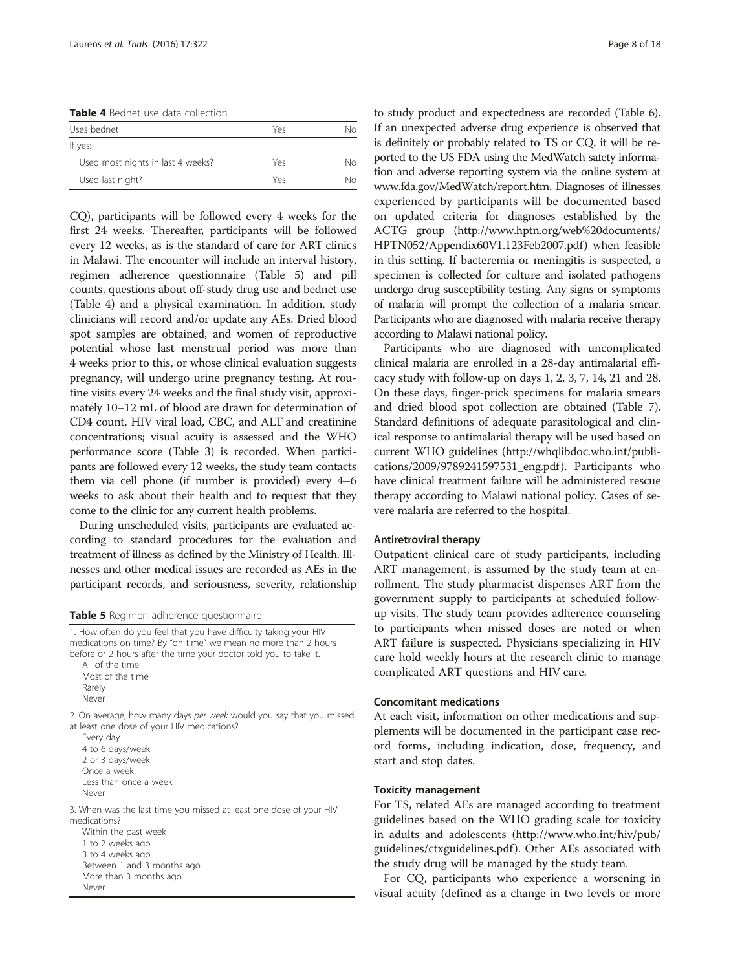<span id="page-7-0"></span>Table 4 Bednet use data collection

| Uses bednet                       | Yes | Nο |  |
|-----------------------------------|-----|----|--|
| If yes:                           |     |    |  |
| Used most nights in last 4 weeks? | Yes | Nο |  |
| Used last night?                  | Yes | Nο |  |
|                                   |     |    |  |

CQ), participants will be followed every 4 weeks for the first 24 weeks. Thereafter, participants will be followed every 12 weeks, as is the standard of care for ART clinics in Malawi. The encounter will include an interval history, regimen adherence questionnaire (Table 5) and pill counts, questions about off-study drug use and bednet use (Table 4) and a physical examination. In addition, study clinicians will record and/or update any AEs. Dried blood spot samples are obtained, and women of reproductive potential whose last menstrual period was more than 4 weeks prior to this, or whose clinical evaluation suggests pregnancy, will undergo urine pregnancy testing. At routine visits every 24 weeks and the final study visit, approximately 10–12 mL of blood are drawn for determination of CD4 count, HIV viral load, CBC, and ALT and creatinine concentrations; visual acuity is assessed and the WHO performance score (Table [3\)](#page-6-0) is recorded. When participants are followed every 12 weeks, the study team contacts them via cell phone (if number is provided) every 4–6 weeks to ask about their health and to request that they come to the clinic for any current health problems.

During unscheduled visits, participants are evaluated according to standard procedures for the evaluation and treatment of illness as defined by the Ministry of Health. Illnesses and other medical issues are recorded as AEs in the participant records, and seriousness, severity, relationship

Table 5 Regimen adherence questionnaire

1. How often do you feel that you have difficulty taking your HIV medications on time? By "on time" we mean no more than 2 hours before or 2 hours after the time your doctor told you to take it.

All of the time Most of the time Rarely **Never** 

2. On average, how many days per week would you say that you missed at least one dose of your HIV medications?

Every day 4 to 6 days/week 2 or 3 days/week Once a week Less than once a week Never

3. When was the last time you missed at least one dose of your HIV medications?

Within the past week 1 to 2 weeks ago 3 to 4 weeks ago Between 1 and 3 months ago More than 3 months ago Never

to study product and expectedness are recorded (Table [6](#page-8-0)). If an unexpected adverse drug experience is observed that is definitely or probably related to TS or CQ, it will be reported to the US FDA using the MedWatch safety information and adverse reporting system via the online system at [www.fda.gov/MedWatch/report.htm.](http://www.fda.gov/MedWatch/report.htm) Diagnoses of illnesses experienced by participants will be documented based on updated criteria for diagnoses established by the ACTG group ([http://www.hptn.org/web%20documents/](http://www.hptn.org/web%20documents/HPTN052/Appendix60V1.123Feb2007.pdf) [HPTN052/Appendix60V1.123Feb2007.pdf](http://www.hptn.org/web%20documents/HPTN052/Appendix60V1.123Feb2007.pdf)) when feasible in this setting. If bacteremia or meningitis is suspected, a specimen is collected for culture and isolated pathogens undergo drug susceptibility testing. Any signs or symptoms of malaria will prompt the collection of a malaria smear. Participants who are diagnosed with malaria receive therapy according to Malawi national policy.

Participants who are diagnosed with uncomplicated clinical malaria are enrolled in a 28-day antimalarial efficacy study with follow-up on days 1, 2, 3, 7, 14, 21 and 28. On these days, finger-prick specimens for malaria smears and dried blood spot collection are obtained (Table [7](#page-9-0)). Standard definitions of adequate parasitological and clinical response to antimalarial therapy will be used based on current WHO guidelines [\(http://whqlibdoc.who.int/publi](http://whqlibdoc.who.int/publications/2009/9789241597531_eng.pdf)[cations/2009/9789241597531\\_eng.pdf](http://whqlibdoc.who.int/publications/2009/9789241597531_eng.pdf) ). Participants who have clinical treatment failure will be administered rescue therapy according to Malawi national policy. Cases of severe malaria are referred to the hospital.

#### Antiretroviral therapy

Outpatient clinical care of study participants, including ART management, is assumed by the study team at enrollment. The study pharmacist dispenses ART from the government supply to participants at scheduled followup visits. The study team provides adherence counseling to participants when missed doses are noted or when ART failure is suspected. Physicians specializing in HIV care hold weekly hours at the research clinic to manage complicated ART questions and HIV care.

## Concomitant medications

At each visit, information on other medications and supplements will be documented in the participant case record forms, including indication, dose, frequency, and start and stop dates.

## Toxicity management

For TS, related AEs are managed according to treatment guidelines based on the WHO grading scale for toxicity in adults and adolescents [\(http://www.who.int/hiv/pub/](http://www.who.int/hiv/pub/guidelines/ctxguidelines.pdf) [guidelines/ctxguidelines.pdf](http://www.who.int/hiv/pub/guidelines/ctxguidelines.pdf) ). Other AEs associated with the study drug will be managed by the study team.

For CQ, participants who experience a worsening in visual acuity (defined as a change in two levels or more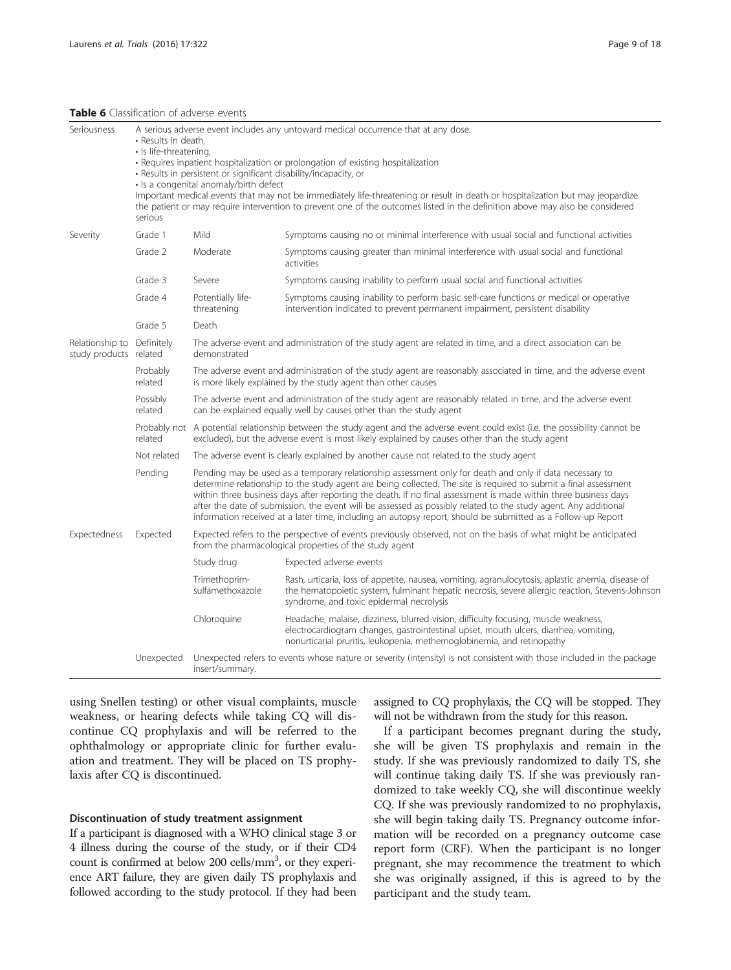## <span id="page-8-0"></span>Table 6 Classification of adverse events

| Seriousness                                          | • Results in death,<br>· Is life-threatening,<br>serious | · Results in persistent or significant disability/incapacity, or<br>· Is a congenital anomaly/birth defect                                                                | A serious adverse event includes any untoward medical occurrence that at any dose:<br>• Requires inpatient hospitalization or prolongation of existing hospitalization<br>Important medical events that may not be immediately life-threatening or result in death or hospitalization but may jeopardize<br>the patient or may require intervention to prevent one of the outcomes listed in the definition above may also be considered                                                                                                                                          |  |  |  |  |  |
|------------------------------------------------------|----------------------------------------------------------|---------------------------------------------------------------------------------------------------------------------------------------------------------------------------|-----------------------------------------------------------------------------------------------------------------------------------------------------------------------------------------------------------------------------------------------------------------------------------------------------------------------------------------------------------------------------------------------------------------------------------------------------------------------------------------------------------------------------------------------------------------------------------|--|--|--|--|--|
| Severity                                             | Grade 1                                                  | Mild                                                                                                                                                                      | Symptoms causing no or minimal interference with usual social and functional activities                                                                                                                                                                                                                                                                                                                                                                                                                                                                                           |  |  |  |  |  |
|                                                      | Grade 2                                                  | Moderate                                                                                                                                                                  | Symptoms causing greater than minimal interference with usual social and functional<br>activities                                                                                                                                                                                                                                                                                                                                                                                                                                                                                 |  |  |  |  |  |
|                                                      | Grade 3                                                  | Severe                                                                                                                                                                    | Symptoms causing inability to perform usual social and functional activities                                                                                                                                                                                                                                                                                                                                                                                                                                                                                                      |  |  |  |  |  |
|                                                      | Grade 4                                                  | Potentially life-<br>threatening                                                                                                                                          | Symptoms causing inability to perform basic self-care functions or medical or operative<br>intervention indicated to prevent permanent impairment, persistent disability                                                                                                                                                                                                                                                                                                                                                                                                          |  |  |  |  |  |
|                                                      | Grade 5                                                  | Death                                                                                                                                                                     |                                                                                                                                                                                                                                                                                                                                                                                                                                                                                                                                                                                   |  |  |  |  |  |
| Relationship to Definitely<br>study products related |                                                          | demonstrated                                                                                                                                                              | The adverse event and administration of the study agent are related in time, and a direct association can be                                                                                                                                                                                                                                                                                                                                                                                                                                                                      |  |  |  |  |  |
|                                                      | Probably<br>related                                      |                                                                                                                                                                           | The adverse event and administration of the study agent are reasonably associated in time, and the adverse event<br>is more likely explained by the study agent than other causes                                                                                                                                                                                                                                                                                                                                                                                                 |  |  |  |  |  |
|                                                      | Possibly<br>related                                      |                                                                                                                                                                           | The adverse event and administration of the study agent are reasonably related in time, and the adverse event<br>can be explained equally well by causes other than the study agent                                                                                                                                                                                                                                                                                                                                                                                               |  |  |  |  |  |
|                                                      | related                                                  |                                                                                                                                                                           | Probably not A potential relationship between the study agent and the adverse event could exist (i.e. the possibility cannot be<br>excluded), but the adverse event is most likely explained by causes other than the study agent                                                                                                                                                                                                                                                                                                                                                 |  |  |  |  |  |
|                                                      | Not related                                              |                                                                                                                                                                           | The adverse event is clearly explained by another cause not related to the study agent                                                                                                                                                                                                                                                                                                                                                                                                                                                                                            |  |  |  |  |  |
|                                                      | Pending                                                  |                                                                                                                                                                           | Pending may be used as a temporary relationship assessment only for death and only if data necessary to<br>determine relationship to the study agent are being collected. The site is required to submit a final assessment<br>within three business days after reporting the death. If no final assessment is made within three business days<br>after the date of submission, the event will be assessed as possibly related to the study agent. Any additional<br>information received at a later time, including an autopsy report, should be submitted as a Follow-up Report |  |  |  |  |  |
| Expectedness                                         | Expected                                                 | Expected refers to the perspective of events previously observed, not on the basis of what might be anticipated<br>from the pharmacological properties of the study agent |                                                                                                                                                                                                                                                                                                                                                                                                                                                                                                                                                                                   |  |  |  |  |  |
|                                                      |                                                          | Study drug                                                                                                                                                                | Expected adverse events                                                                                                                                                                                                                                                                                                                                                                                                                                                                                                                                                           |  |  |  |  |  |
|                                                      |                                                          | Trimethoprim-<br>sulfamethoxazole                                                                                                                                         | Rash, urticaria, loss of appetite, nausea, vomiting, agranulocytosis, aplastic anemia, disease of<br>the hematopoietic system, fulminant hepatic necrosis, severe allergic reaction, Stevens-Johnsor<br>syndrome, and toxic epidermal necrolysis                                                                                                                                                                                                                                                                                                                                  |  |  |  |  |  |
|                                                      |                                                          | Chloroquine                                                                                                                                                               | Headache, malaise, dizziness, blurred vision, difficulty focusing, muscle weakness,<br>electrocardiogram changes, gastrointestinal upset, mouth ulcers, diarrhea, vomiting,<br>nonurticarial pruritis, leukopenia, methemoglobinemia, and retinopathy                                                                                                                                                                                                                                                                                                                             |  |  |  |  |  |
|                                                      | Unexpected                                               | insert/summary.                                                                                                                                                           | Unexpected refers to events whose nature or severity (intensity) is not consistent with those included in the package                                                                                                                                                                                                                                                                                                                                                                                                                                                             |  |  |  |  |  |

using Snellen testing) or other visual complaints, muscle weakness, or hearing defects while taking CQ will discontinue CQ prophylaxis and will be referred to the ophthalmology or appropriate clinic for further evaluation and treatment. They will be placed on TS prophylaxis after CQ is discontinued.

## Discontinuation of study treatment assignment

If a participant is diagnosed with a WHO clinical stage 3 or 4 illness during the course of the study, or if their CD4 count is confirmed at below 200 cells/mm<sup>3</sup>, or they experience ART failure, they are given daily TS prophylaxis and followed according to the study protocol. If they had been

assigned to CQ prophylaxis, the CQ will be stopped. They will not be withdrawn from the study for this reason.

If a participant becomes pregnant during the study, she will be given TS prophylaxis and remain in the study. If she was previously randomized to daily TS, she will continue taking daily TS. If she was previously randomized to take weekly CQ, she will discontinue weekly CQ. If she was previously randomized to no prophylaxis, she will begin taking daily TS. Pregnancy outcome information will be recorded on a pregnancy outcome case report form (CRF). When the participant is no longer pregnant, she may recommence the treatment to which she was originally assigned, if this is agreed to by the participant and the study team.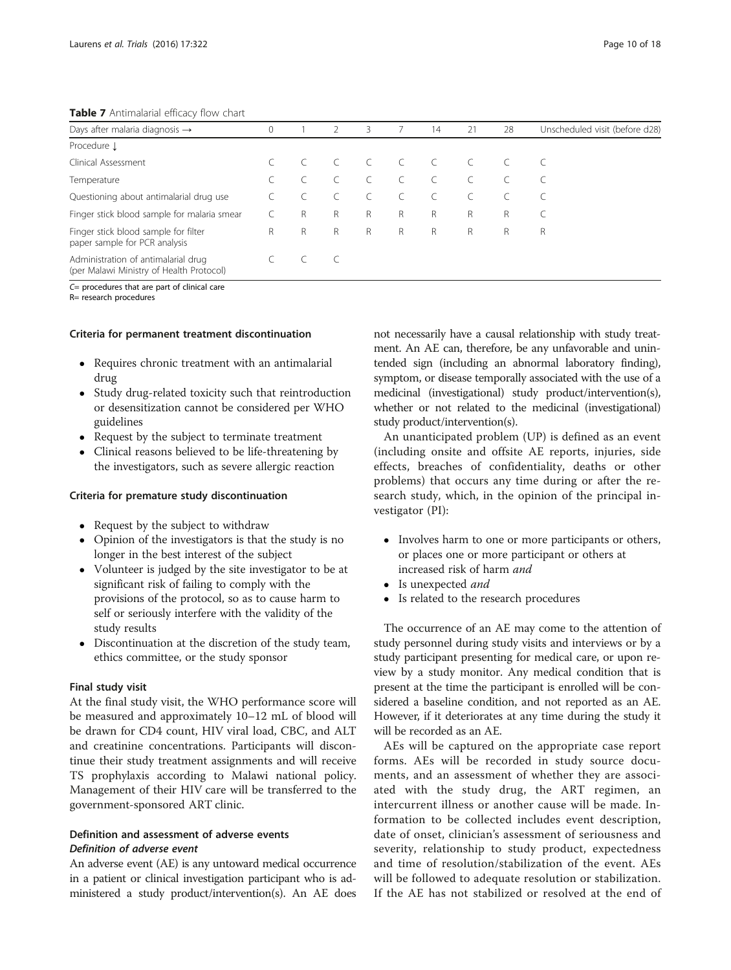### <span id="page-9-0"></span>Table 7 Antimalarial efficacy flow chart

| Days after malaria diagnosis $\rightarrow$                                      | 0  |   |    | $\mathbf{3}$ |    | 14        | 21 | 28 | Unscheduled visit (before d28) |
|---------------------------------------------------------------------------------|----|---|----|--------------|----|-----------|----|----|--------------------------------|
| Procedure L                                                                     |    |   |    |              |    |           |    |    |                                |
| Clinical Assessment                                                             |    |   |    |              |    |           |    |    |                                |
| Temperature                                                                     |    |   |    |              |    | $\subset$ |    |    |                                |
| Questioning about antimalarial drug use                                         |    |   |    |              |    | $\subset$ |    |    |                                |
| Finger stick blood sample for malaria smear                                     |    | R | R. | R.           | R  | R         | R. | R  |                                |
| Finger stick blood sample for filter<br>paper sample for PCR analysis           | R. | R | R  | R            | R. | R         | R. | R  | R                              |
| Administration of antimalarial drug<br>(per Malawi Ministry of Health Protocol) |    |   |    |              |    |           |    |    |                                |
|                                                                                 |    |   |    |              |    |           |    |    |                                |

C= procedures that are part of clinical care

R= research procedures

## Criteria for permanent treatment discontinuation

- Requires chronic treatment with an antimalarial drug
- Study drug-related toxicity such that reintroduction or desensitization cannot be considered per WHO guidelines
- Request by the subject to terminate treatment
- Clinical reasons believed to be life-threatening by the investigators, such as severe allergic reaction

#### Criteria for premature study discontinuation

- Request by the subject to withdraw
- Opinion of the investigators is that the study is no longer in the best interest of the subject
- Volunteer is judged by the site investigator to be at significant risk of failing to comply with the provisions of the protocol, so as to cause harm to self or seriously interfere with the validity of the study results
- Discontinuation at the discretion of the study team, ethics committee, or the study sponsor

## Final study visit

At the final study visit, the WHO performance score will be measured and approximately 10–12 mL of blood will be drawn for CD4 count, HIV viral load, CBC, and ALT and creatinine concentrations. Participants will discontinue their study treatment assignments and will receive TS prophylaxis according to Malawi national policy. Management of their HIV care will be transferred to the government-sponsored ART clinic.

## Definition and assessment of adverse events Definition of adverse event

An adverse event (AE) is any untoward medical occurrence in a patient or clinical investigation participant who is administered a study product/intervention(s). An AE does not necessarily have a causal relationship with study treatment. An AE can, therefore, be any unfavorable and unintended sign (including an abnormal laboratory finding), symptom, or disease temporally associated with the use of a medicinal (investigational) study product/intervention(s), whether or not related to the medicinal (investigational) study product/intervention(s).

An unanticipated problem (UP) is defined as an event (including onsite and offsite AE reports, injuries, side effects, breaches of confidentiality, deaths or other problems) that occurs any time during or after the research study, which, in the opinion of the principal investigator (PI):

- Involves harm to one or more participants or others, or places one or more participant or others at increased risk of harm and
- Is unexpected and
- Is related to the research procedures

The occurrence of an AE may come to the attention of study personnel during study visits and interviews or by a study participant presenting for medical care, or upon review by a study monitor. Any medical condition that is present at the time the participant is enrolled will be considered a baseline condition, and not reported as an AE. However, if it deteriorates at any time during the study it will be recorded as an AE.

AEs will be captured on the appropriate case report forms. AEs will be recorded in study source documents, and an assessment of whether they are associated with the study drug, the ART regimen, an intercurrent illness or another cause will be made. Information to be collected includes event description, date of onset, clinician's assessment of seriousness and severity, relationship to study product, expectedness and time of resolution/stabilization of the event. AEs will be followed to adequate resolution or stabilization. If the AE has not stabilized or resolved at the end of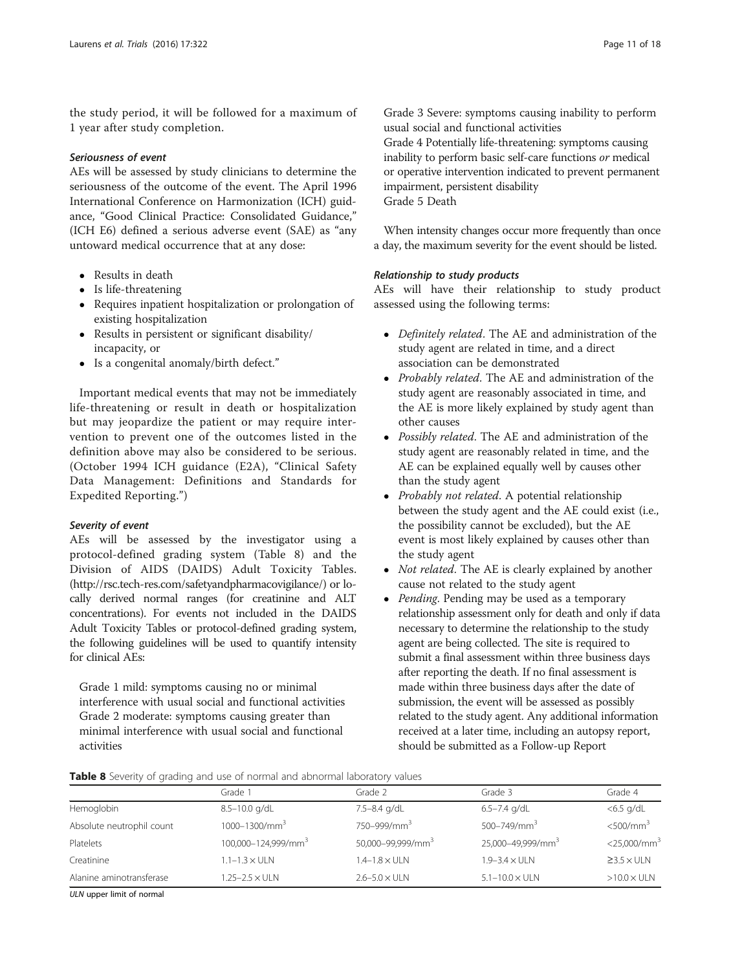the study period, it will be followed for a maximum of 1 year after study completion.

## Seriousness of event

AEs will be assessed by study clinicians to determine the seriousness of the outcome of the event. The April 1996 International Conference on Harmonization (ICH) guidance, "Good Clinical Practice: Consolidated Guidance," (ICH E6) defined a serious adverse event (SAE) as "any untoward medical occurrence that at any dose:

- Results in death
- Is life-threatening
- Requires inpatient hospitalization or prolongation of existing hospitalization
- Results in persistent or significant disability/ incapacity, or
- Is a congenital anomaly/birth defect."

Important medical events that may not be immediately life-threatening or result in death or hospitalization but may jeopardize the patient or may require intervention to prevent one of the outcomes listed in the definition above may also be considered to be serious. (October 1994 ICH guidance (E2A), "Clinical Safety Data Management: Definitions and Standards for Expedited Reporting.")

## Severity of event

AEs will be assessed by the investigator using a protocol-defined grading system (Table 8) and the Division of AIDS (DAIDS) Adult Toxicity Tables. (<http://rsc.tech-res.com/safetyandpharmacovigilance/>) or locally derived normal ranges (for creatinine and ALT concentrations). For events not included in the DAIDS Adult Toxicity Tables or protocol-defined grading system, the following guidelines will be used to quantify intensity for clinical AEs:

Grade 1 mild: symptoms causing no or minimal interference with usual social and functional activities Grade 2 moderate: symptoms causing greater than minimal interference with usual social and functional activities

Grade 3 Severe: symptoms causing inability to perform usual social and functional activities Grade 4 Potentially life-threatening: symptoms causing inability to perform basic self-care functions or medical or operative intervention indicated to prevent permanent impairment, persistent disability Grade 5 Death

When intensity changes occur more frequently than once a day, the maximum severity for the event should be listed.

## Relationship to study products

AEs will have their relationship to study product assessed using the following terms:

- Definitely related. The AE and administration of the study agent are related in time, and a direct association can be demonstrated
- Probably related. The AE and administration of the study agent are reasonably associated in time, and the AE is more likely explained by study agent than other causes
- Possibly related. The AE and administration of the study agent are reasonably related in time, and the AE can be explained equally well by causes other than the study agent
- Probably not related. A potential relationship between the study agent and the AE could exist (i.e., the possibility cannot be excluded), but the AE event is most likely explained by causes other than the study agent
- *Not related*. The AE is clearly explained by another cause not related to the study agent
- Pending. Pending may be used as a temporary relationship assessment only for death and only if data necessary to determine the relationship to the study agent are being collected. The site is required to submit a final assessment within three business days after reporting the death. If no final assessment is made within three business days after the date of submission, the event will be assessed as possibly related to the study agent. Any additional information received at a later time, including an autopsy report, should be submitted as a Follow-up Report

|  |  |  |  |  |  |  |  | Table 8 Severity of grading and use of normal and abnormal laboratory values |  |  |
|--|--|--|--|--|--|--|--|------------------------------------------------------------------------------|--|--|
|--|--|--|--|--|--|--|--|------------------------------------------------------------------------------|--|--|

|                           | Grade 1                         | Grade 2                       | Grade 3                       | Grade 4                    |
|---------------------------|---------------------------------|-------------------------------|-------------------------------|----------------------------|
| Hemoglobin                | 8.5-10.0 g/dL                   | 7.5-8.4 g/dL                  | 6.5-7.4 g/dL                  | $<$ 6.5 g/dL               |
| Absolute neutrophil count | $1000 - 1300/mm^3$              | 750-999/mm <sup>3</sup>       | 500-749/mm <sup>3</sup>       | $<$ 500/mm <sup>3</sup>    |
| Platelets                 | 100,000-124,999/mm <sup>3</sup> | 50,000-99,999/mm <sup>3</sup> | 25,000-49,999/mm <sup>3</sup> | $<$ 25,000/mm <sup>3</sup> |
| Creatinine                | $1.1 - 1.3 \times ULN$          | $1.4 - 1.8 \times ULN$        | $1.9 - 3.4 \times ULN$        | $23.5 \times ULN$          |
| Alanine aminotransferase  | 1.25–2.5 x ULN                  | $2.6 - 5.0 \times ULN$        | $5.1 - 10.0 \times ULN$       | $>10.0\times$ ULN          |

ULN upper limit of normal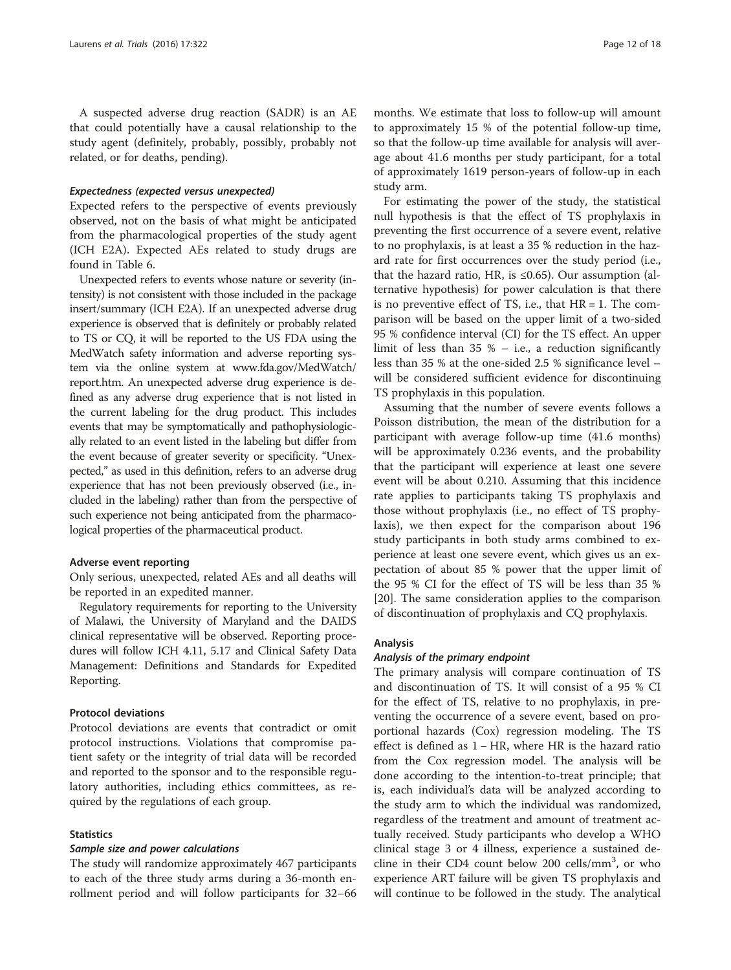A suspected adverse drug reaction (SADR) is an AE that could potentially have a causal relationship to the study agent (definitely, probably, possibly, probably not related, or for deaths, pending).

#### Expectedness (expected versus unexpected)

Expected refers to the perspective of events previously observed, not on the basis of what might be anticipated from the pharmacological properties of the study agent (ICH E2A). Expected AEs related to study drugs are found in Table [6](#page-8-0).

Unexpected refers to events whose nature or severity (intensity) is not consistent with those included in the package insert/summary (ICH E2A). If an unexpected adverse drug experience is observed that is definitely or probably related to TS or CQ, it will be reported to the US FDA using the MedWatch safety information and adverse reporting system via the online system at [www.fda.gov/MedWatch/](http://www.fda.gov/MedWatch/report.htm) [report.htm.](http://www.fda.gov/MedWatch/report.htm) An unexpected adverse drug experience is defined as any adverse drug experience that is not listed in the current labeling for the drug product. This includes events that may be symptomatically and pathophysiologically related to an event listed in the labeling but differ from the event because of greater severity or specificity. "Unexpected," as used in this definition, refers to an adverse drug experience that has not been previously observed (i.e., included in the labeling) rather than from the perspective of such experience not being anticipated from the pharmacological properties of the pharmaceutical product.

### Adverse event reporting

Only serious, unexpected, related AEs and all deaths will be reported in an expedited manner.

Regulatory requirements for reporting to the University of Malawi, the University of Maryland and the DAIDS clinical representative will be observed. Reporting procedures will follow ICH 4.11, 5.17 and Clinical Safety Data Management: Definitions and Standards for Expedited Reporting.

## Protocol deviations

Protocol deviations are events that contradict or omit protocol instructions. Violations that compromise patient safety or the integrity of trial data will be recorded and reported to the sponsor and to the responsible regulatory authorities, including ethics committees, as required by the regulations of each group.

## **Statistics**

#### Sample size and power calculations

The study will randomize approximately 467 participants to each of the three study arms during a 36-month enrollment period and will follow participants for 32–66

months. We estimate that loss to follow-up will amount to approximately 15 % of the potential follow-up time, so that the follow-up time available for analysis will average about 41.6 months per study participant, for a total of approximately 1619 person-years of follow-up in each study arm.

For estimating the power of the study, the statistical null hypothesis is that the effect of TS prophylaxis in preventing the first occurrence of a severe event, relative to no prophylaxis, is at least a 35 % reduction in the hazard rate for first occurrences over the study period (i.e., that the hazard ratio, HR, is  $\leq 0.65$ ). Our assumption (alternative hypothesis) for power calculation is that there is no preventive effect of TS, i.e., that  $HR = 1$ . The comparison will be based on the upper limit of a two-sided 95 % confidence interval (CI) for the TS effect. An upper limit of less than  $35 \% - i.e.,$  a reduction significantly less than 35 % at the one-sided 2.5 % significance level – will be considered sufficient evidence for discontinuing TS prophylaxis in this population.

Assuming that the number of severe events follows a Poisson distribution, the mean of the distribution for a participant with average follow-up time (41.6 months) will be approximately 0.236 events, and the probability that the participant will experience at least one severe event will be about 0.210. Assuming that this incidence rate applies to participants taking TS prophylaxis and those without prophylaxis (i.e., no effect of TS prophylaxis), we then expect for the comparison about 196 study participants in both study arms combined to experience at least one severe event, which gives us an expectation of about 85 % power that the upper limit of the 95 % CI for the effect of TS will be less than 35 % [[20\]](#page-17-0). The same consideration applies to the comparison of discontinuation of prophylaxis and CQ prophylaxis.

### Analysis

#### Analysis of the primary endpoint

The primary analysis will compare continuation of TS and discontinuation of TS. It will consist of a 95 % CI for the effect of TS, relative to no prophylaxis, in preventing the occurrence of a severe event, based on proportional hazards (Cox) regression modeling. The TS effect is defined as 1 − HR, where HR is the hazard ratio from the Cox regression model. The analysis will be done according to the intention-to-treat principle; that is, each individual's data will be analyzed according to the study arm to which the individual was randomized, regardless of the treatment and amount of treatment actually received. Study participants who develop a WHO clinical stage 3 or 4 illness, experience a sustained decline in their CD4 count below 200 cells/mm<sup>3</sup>, or who experience ART failure will be given TS prophylaxis and will continue to be followed in the study. The analytical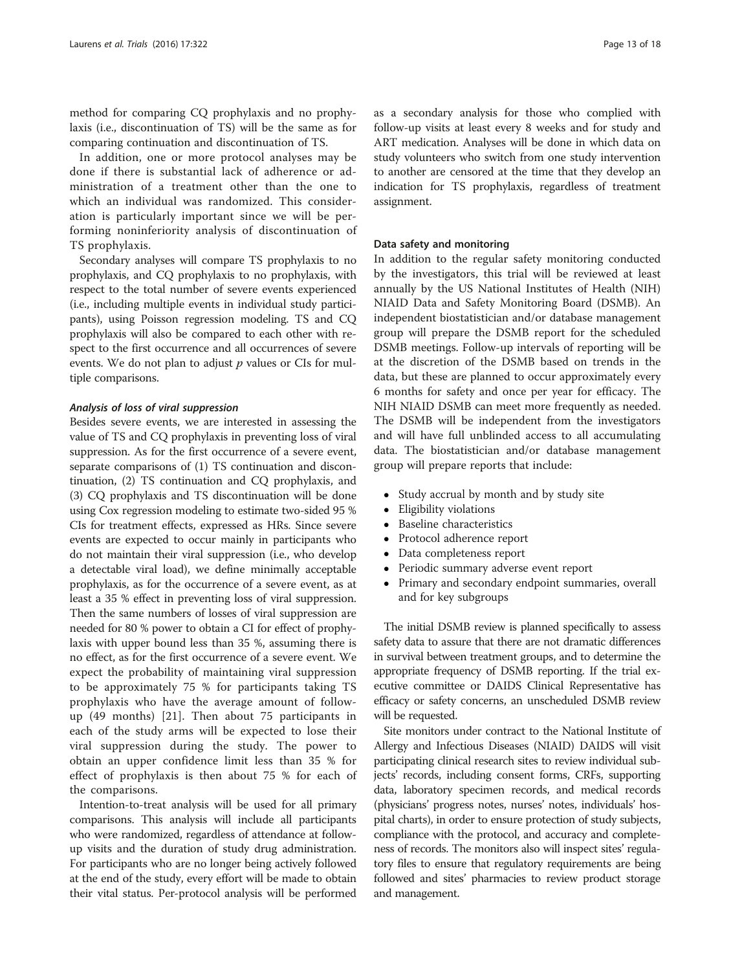method for comparing CQ prophylaxis and no prophylaxis (i.e., discontinuation of TS) will be the same as for comparing continuation and discontinuation of TS.

In addition, one or more protocol analyses may be done if there is substantial lack of adherence or administration of a treatment other than the one to which an individual was randomized. This consideration is particularly important since we will be performing noninferiority analysis of discontinuation of TS prophylaxis.

Secondary analyses will compare TS prophylaxis to no prophylaxis, and CQ prophylaxis to no prophylaxis, with respect to the total number of severe events experienced (i.e., including multiple events in individual study participants), using Poisson regression modeling. TS and CQ prophylaxis will also be compared to each other with respect to the first occurrence and all occurrences of severe events. We do not plan to adjust  $p$  values or CIs for multiple comparisons.

## Analysis of loss of viral suppression

Besides severe events, we are interested in assessing the value of TS and CQ prophylaxis in preventing loss of viral suppression. As for the first occurrence of a severe event, separate comparisons of (1) TS continuation and discontinuation, (2) TS continuation and CQ prophylaxis, and (3) CQ prophylaxis and TS discontinuation will be done using Cox regression modeling to estimate two-sided 95 % CIs for treatment effects, expressed as HRs. Since severe events are expected to occur mainly in participants who do not maintain their viral suppression (i.e., who develop a detectable viral load), we define minimally acceptable prophylaxis, as for the occurrence of a severe event, as at least a 35 % effect in preventing loss of viral suppression. Then the same numbers of losses of viral suppression are needed for 80 % power to obtain a CI for effect of prophylaxis with upper bound less than 35 %, assuming there is no effect, as for the first occurrence of a severe event. We expect the probability of maintaining viral suppression to be approximately 75 % for participants taking TS prophylaxis who have the average amount of followup (49 months) [[21](#page-17-0)]. Then about 75 participants in each of the study arms will be expected to lose their viral suppression during the study. The power to obtain an upper confidence limit less than 35 % for effect of prophylaxis is then about 75 % for each of the comparisons.

Intention-to-treat analysis will be used for all primary comparisons. This analysis will include all participants who were randomized, regardless of attendance at followup visits and the duration of study drug administration. For participants who are no longer being actively followed at the end of the study, every effort will be made to obtain their vital status. Per-protocol analysis will be performed

as a secondary analysis for those who complied with follow-up visits at least every 8 weeks and for study and ART medication. Analyses will be done in which data on study volunteers who switch from one study intervention to another are censored at the time that they develop an indication for TS prophylaxis, regardless of treatment assignment.

## Data safety and monitoring

In addition to the regular safety monitoring conducted by the investigators, this trial will be reviewed at least annually by the US National Institutes of Health (NIH) NIAID Data and Safety Monitoring Board (DSMB). An independent biostatistician and/or database management group will prepare the DSMB report for the scheduled DSMB meetings. Follow-up intervals of reporting will be at the discretion of the DSMB based on trends in the data, but these are planned to occur approximately every 6 months for safety and once per year for efficacy. The NIH NIAID DSMB can meet more frequently as needed. The DSMB will be independent from the investigators and will have full unblinded access to all accumulating data. The biostatistician and/or database management group will prepare reports that include:

- Study accrual by month and by study site
- Eligibility violations
- Baseline characteristics
- Protocol adherence report
- Data completeness report
- Periodic summary adverse event report
- Primary and secondary endpoint summaries, overall and for key subgroups

The initial DSMB review is planned specifically to assess safety data to assure that there are not dramatic differences in survival between treatment groups, and to determine the appropriate frequency of DSMB reporting. If the trial executive committee or DAIDS Clinical Representative has efficacy or safety concerns, an unscheduled DSMB review will be requested.

Site monitors under contract to the National Institute of Allergy and Infectious Diseases (NIAID) DAIDS will visit participating clinical research sites to review individual subjects' records, including consent forms, CRFs, supporting data, laboratory specimen records, and medical records (physicians' progress notes, nurses' notes, individuals' hospital charts), in order to ensure protection of study subjects, compliance with the protocol, and accuracy and completeness of records. The monitors also will inspect sites' regulatory files to ensure that regulatory requirements are being followed and sites' pharmacies to review product storage and management.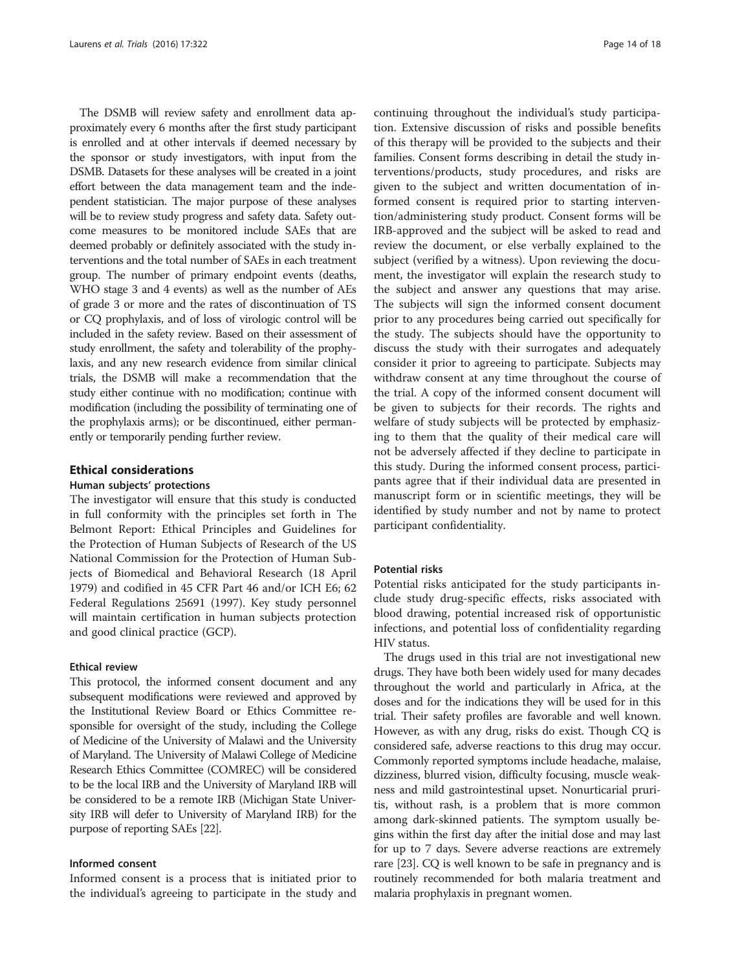The DSMB will review safety and enrollment data approximately every 6 months after the first study participant is enrolled and at other intervals if deemed necessary by the sponsor or study investigators, with input from the DSMB. Datasets for these analyses will be created in a joint effort between the data management team and the independent statistician. The major purpose of these analyses will be to review study progress and safety data. Safety outcome measures to be monitored include SAEs that are deemed probably or definitely associated with the study interventions and the total number of SAEs in each treatment group. The number of primary endpoint events (deaths, WHO stage 3 and 4 events) as well as the number of AEs of grade 3 or more and the rates of discontinuation of TS or CQ prophylaxis, and of loss of virologic control will be included in the safety review. Based on their assessment of study enrollment, the safety and tolerability of the prophylaxis, and any new research evidence from similar clinical trials, the DSMB will make a recommendation that the study either continue with no modification; continue with modification (including the possibility of terminating one of the prophylaxis arms); or be discontinued, either permanently or temporarily pending further review.

## Ethical considerations

## Human subjects' protections

The investigator will ensure that this study is conducted in full conformity with the principles set forth in The Belmont Report: Ethical Principles and Guidelines for the Protection of Human Subjects of Research of the US National Commission for the Protection of Human Subjects of Biomedical and Behavioral Research (18 April 1979) and codified in 45 CFR Part 46 and/or ICH E6; 62 Federal Regulations 25691 (1997). Key study personnel will maintain certification in human subjects protection and good clinical practice (GCP).

#### Ethical review

This protocol, the informed consent document and any subsequent modifications were reviewed and approved by the Institutional Review Board or Ethics Committee responsible for oversight of the study, including the College of Medicine of the University of Malawi and the University of Maryland. The University of Malawi College of Medicine Research Ethics Committee (COMREC) will be considered to be the local IRB and the University of Maryland IRB will be considered to be a remote IRB (Michigan State University IRB will defer to University of Maryland IRB) for the purpose of reporting SAEs [\[22](#page-17-0)].

## Informed consent

Informed consent is a process that is initiated prior to the individual's agreeing to participate in the study and continuing throughout the individual's study participation. Extensive discussion of risks and possible benefits of this therapy will be provided to the subjects and their families. Consent forms describing in detail the study interventions/products, study procedures, and risks are given to the subject and written documentation of informed consent is required prior to starting intervention/administering study product. Consent forms will be IRB-approved and the subject will be asked to read and review the document, or else verbally explained to the subject (verified by a witness). Upon reviewing the document, the investigator will explain the research study to the subject and answer any questions that may arise. The subjects will sign the informed consent document prior to any procedures being carried out specifically for the study. The subjects should have the opportunity to discuss the study with their surrogates and adequately consider it prior to agreeing to participate. Subjects may withdraw consent at any time throughout the course of the trial. A copy of the informed consent document will be given to subjects for their records. The rights and welfare of study subjects will be protected by emphasizing to them that the quality of their medical care will not be adversely affected if they decline to participate in this study. During the informed consent process, participants agree that if their individual data are presented in manuscript form or in scientific meetings, they will be identified by study number and not by name to protect participant confidentiality.

## Potential risks

Potential risks anticipated for the study participants include study drug-specific effects, risks associated with blood drawing, potential increased risk of opportunistic infections, and potential loss of confidentiality regarding HIV status.

The drugs used in this trial are not investigational new drugs. They have both been widely used for many decades throughout the world and particularly in Africa, at the doses and for the indications they will be used for in this trial. Their safety profiles are favorable and well known. However, as with any drug, risks do exist. Though CQ is considered safe, adverse reactions to this drug may occur. Commonly reported symptoms include headache, malaise, dizziness, blurred vision, difficulty focusing, muscle weakness and mild gastrointestinal upset. Nonurticarial pruritis, without rash, is a problem that is more common among dark-skinned patients. The symptom usually begins within the first day after the initial dose and may last for up to 7 days. Severe adverse reactions are extremely rare [\[23](#page-17-0)]. CQ is well known to be safe in pregnancy and is routinely recommended for both malaria treatment and malaria prophylaxis in pregnant women.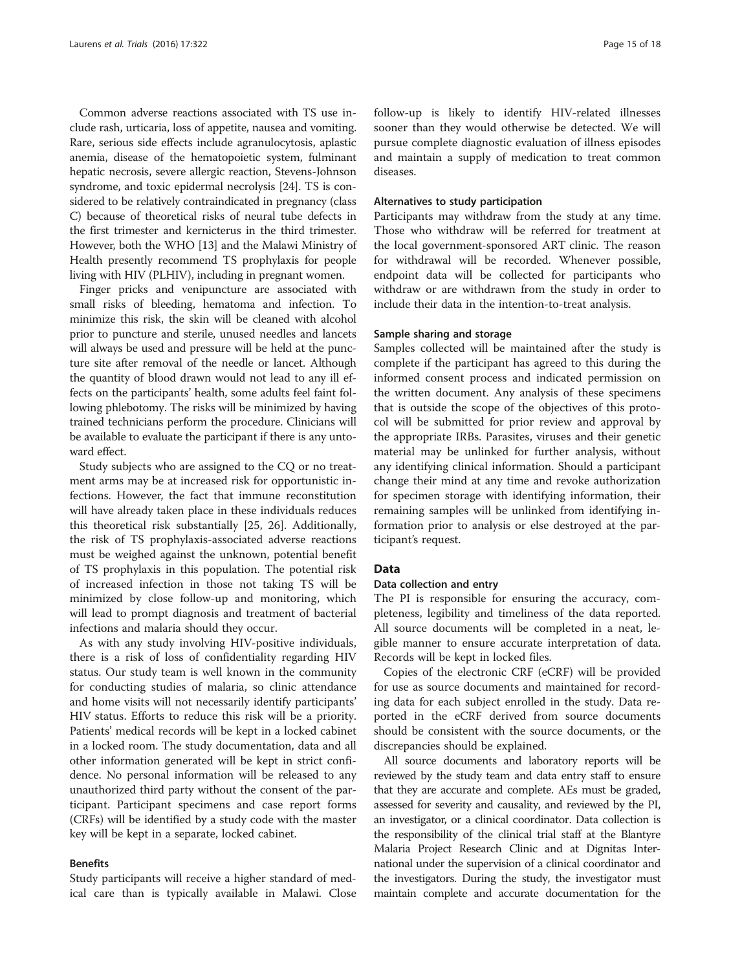Common adverse reactions associated with TS use include rash, urticaria, loss of appetite, nausea and vomiting. Rare, serious side effects include agranulocytosis, aplastic anemia, disease of the hematopoietic system, fulminant hepatic necrosis, severe allergic reaction, Stevens-Johnson syndrome, and toxic epidermal necrolysis [[24](#page-17-0)]. TS is considered to be relatively contraindicated in pregnancy (class C) because of theoretical risks of neural tube defects in the first trimester and kernicterus in the third trimester. However, both the WHO [[13](#page-17-0)] and the Malawi Ministry of Health presently recommend TS prophylaxis for people living with HIV (PLHIV), including in pregnant women.

Finger pricks and venipuncture are associated with small risks of bleeding, hematoma and infection. To minimize this risk, the skin will be cleaned with alcohol prior to puncture and sterile, unused needles and lancets will always be used and pressure will be held at the puncture site after removal of the needle or lancet. Although the quantity of blood drawn would not lead to any ill effects on the participants' health, some adults feel faint following phlebotomy. The risks will be minimized by having trained technicians perform the procedure. Clinicians will be available to evaluate the participant if there is any untoward effect.

Study subjects who are assigned to the CQ or no treatment arms may be at increased risk for opportunistic infections. However, the fact that immune reconstitution will have already taken place in these individuals reduces this theoretical risk substantially [[25, 26](#page-17-0)]. Additionally, the risk of TS prophylaxis-associated adverse reactions must be weighed against the unknown, potential benefit of TS prophylaxis in this population. The potential risk of increased infection in those not taking TS will be minimized by close follow-up and monitoring, which will lead to prompt diagnosis and treatment of bacterial infections and malaria should they occur.

As with any study involving HIV-positive individuals, there is a risk of loss of confidentiality regarding HIV status. Our study team is well known in the community for conducting studies of malaria, so clinic attendance and home visits will not necessarily identify participants' HIV status. Efforts to reduce this risk will be a priority. Patients' medical records will be kept in a locked cabinet in a locked room. The study documentation, data and all other information generated will be kept in strict confidence. No personal information will be released to any unauthorized third party without the consent of the participant. Participant specimens and case report forms (CRFs) will be identified by a study code with the master key will be kept in a separate, locked cabinet.

## Benefits

Study participants will receive a higher standard of medical care than is typically available in Malawi. Close follow-up is likely to identify HIV-related illnesses sooner than they would otherwise be detected. We will pursue complete diagnostic evaluation of illness episodes and maintain a supply of medication to treat common diseases.

## Alternatives to study participation

Participants may withdraw from the study at any time. Those who withdraw will be referred for treatment at the local government-sponsored ART clinic. The reason for withdrawal will be recorded. Whenever possible, endpoint data will be collected for participants who withdraw or are withdrawn from the study in order to include their data in the intention-to-treat analysis.

## Sample sharing and storage

Samples collected will be maintained after the study is complete if the participant has agreed to this during the informed consent process and indicated permission on the written document. Any analysis of these specimens that is outside the scope of the objectives of this protocol will be submitted for prior review and approval by the appropriate IRBs. Parasites, viruses and their genetic material may be unlinked for further analysis, without any identifying clinical information. Should a participant change their mind at any time and revoke authorization for specimen storage with identifying information, their remaining samples will be unlinked from identifying information prior to analysis or else destroyed at the participant's request.

## Data

## Data collection and entry

The PI is responsible for ensuring the accuracy, completeness, legibility and timeliness of the data reported. All source documents will be completed in a neat, legible manner to ensure accurate interpretation of data. Records will be kept in locked files.

Copies of the electronic CRF (eCRF) will be provided for use as source documents and maintained for recording data for each subject enrolled in the study. Data reported in the eCRF derived from source documents should be consistent with the source documents, or the discrepancies should be explained.

All source documents and laboratory reports will be reviewed by the study team and data entry staff to ensure that they are accurate and complete. AEs must be graded, assessed for severity and causality, and reviewed by the PI, an investigator, or a clinical coordinator. Data collection is the responsibility of the clinical trial staff at the Blantyre Malaria Project Research Clinic and at Dignitas International under the supervision of a clinical coordinator and the investigators. During the study, the investigator must maintain complete and accurate documentation for the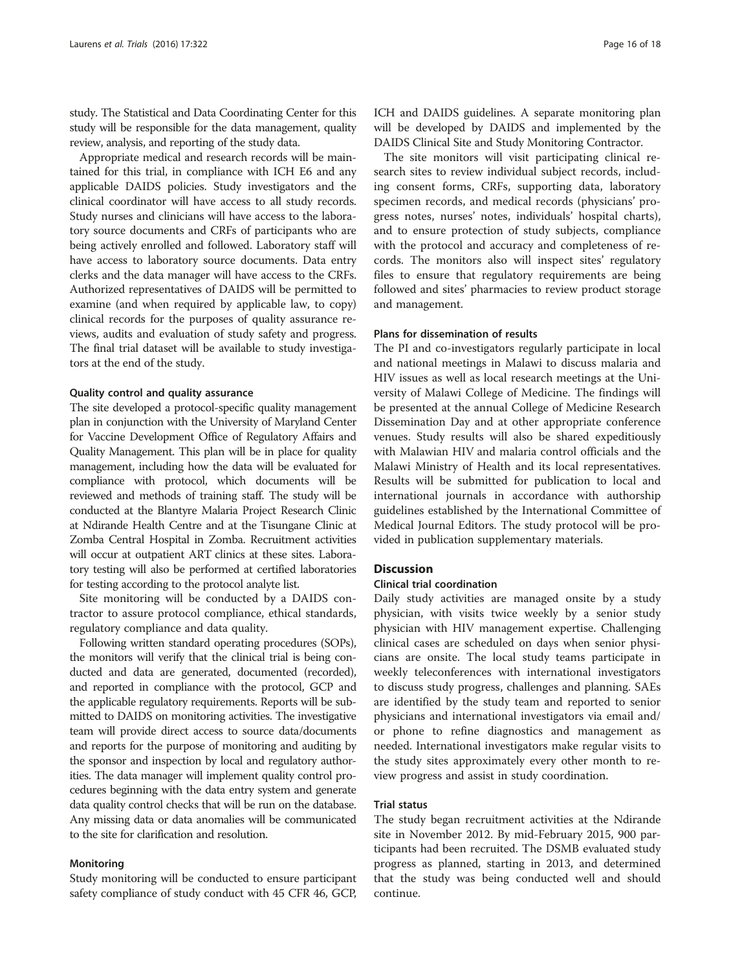study. The Statistical and Data Coordinating Center for this study will be responsible for the data management, quality review, analysis, and reporting of the study data.

Appropriate medical and research records will be maintained for this trial, in compliance with ICH E6 and any applicable DAIDS policies. Study investigators and the clinical coordinator will have access to all study records. Study nurses and clinicians will have access to the laboratory source documents and CRFs of participants who are being actively enrolled and followed. Laboratory staff will have access to laboratory source documents. Data entry clerks and the data manager will have access to the CRFs. Authorized representatives of DAIDS will be permitted to examine (and when required by applicable law, to copy) clinical records for the purposes of quality assurance reviews, audits and evaluation of study safety and progress. The final trial dataset will be available to study investigators at the end of the study.

#### Quality control and quality assurance

The site developed a protocol-specific quality management plan in conjunction with the University of Maryland Center for Vaccine Development Office of Regulatory Affairs and Quality Management. This plan will be in place for quality management, including how the data will be evaluated for compliance with protocol, which documents will be reviewed and methods of training staff. The study will be conducted at the Blantyre Malaria Project Research Clinic at Ndirande Health Centre and at the Tisungane Clinic at Zomba Central Hospital in Zomba. Recruitment activities will occur at outpatient ART clinics at these sites. Laboratory testing will also be performed at certified laboratories for testing according to the protocol analyte list.

Site monitoring will be conducted by a DAIDS contractor to assure protocol compliance, ethical standards, regulatory compliance and data quality.

Following written standard operating procedures (SOPs), the monitors will verify that the clinical trial is being conducted and data are generated, documented (recorded), and reported in compliance with the protocol, GCP and the applicable regulatory requirements. Reports will be submitted to DAIDS on monitoring activities. The investigative team will provide direct access to source data/documents and reports for the purpose of monitoring and auditing by the sponsor and inspection by local and regulatory authorities. The data manager will implement quality control procedures beginning with the data entry system and generate data quality control checks that will be run on the database. Any missing data or data anomalies will be communicated to the site for clarification and resolution.

#### Monitoring

Study monitoring will be conducted to ensure participant safety compliance of study conduct with 45 CFR 46, GCP, ICH and DAIDS guidelines. A separate monitoring plan will be developed by DAIDS and implemented by the DAIDS Clinical Site and Study Monitoring Contractor.

The site monitors will visit participating clinical research sites to review individual subject records, including consent forms, CRFs, supporting data, laboratory specimen records, and medical records (physicians' progress notes, nurses' notes, individuals' hospital charts), and to ensure protection of study subjects, compliance with the protocol and accuracy and completeness of records. The monitors also will inspect sites' regulatory files to ensure that regulatory requirements are being followed and sites' pharmacies to review product storage and management.

## Plans for dissemination of results

The PI and co-investigators regularly participate in local and national meetings in Malawi to discuss malaria and HIV issues as well as local research meetings at the University of Malawi College of Medicine. The findings will be presented at the annual College of Medicine Research Dissemination Day and at other appropriate conference venues. Study results will also be shared expeditiously with Malawian HIV and malaria control officials and the Malawi Ministry of Health and its local representatives. Results will be submitted for publication to local and international journals in accordance with authorship guidelines established by the International Committee of Medical Journal Editors. The study protocol will be provided in publication supplementary materials.

## **Discussion**

## Clinical trial coordination

Daily study activities are managed onsite by a study physician, with visits twice weekly by a senior study physician with HIV management expertise. Challenging clinical cases are scheduled on days when senior physicians are onsite. The local study teams participate in weekly teleconferences with international investigators to discuss study progress, challenges and planning. SAEs are identified by the study team and reported to senior physicians and international investigators via email and/ or phone to refine diagnostics and management as needed. International investigators make regular visits to the study sites approximately every other month to review progress and assist in study coordination.

## Trial status

The study began recruitment activities at the Ndirande site in November 2012. By mid-February 2015, 900 participants had been recruited. The DSMB evaluated study progress as planned, starting in 2013, and determined that the study was being conducted well and should continue.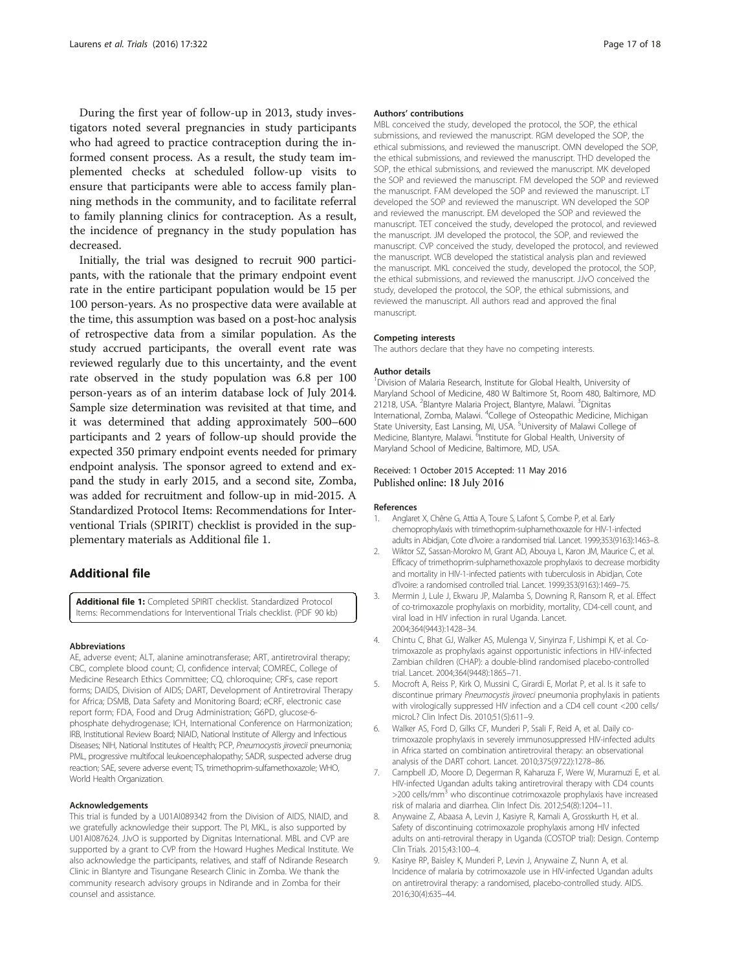<span id="page-16-0"></span>During the first year of follow-up in 2013, study investigators noted several pregnancies in study participants who had agreed to practice contraception during the informed consent process. As a result, the study team implemented checks at scheduled follow-up visits to ensure that participants were able to access family planning methods in the community, and to facilitate referral to family planning clinics for contraception. As a result, the incidence of pregnancy in the study population has decreased.

Initially, the trial was designed to recruit 900 participants, with the rationale that the primary endpoint event rate in the entire participant population would be 15 per 100 person-years. As no prospective data were available at the time, this assumption was based on a post-hoc analysis of retrospective data from a similar population. As the study accrued participants, the overall event rate was reviewed regularly due to this uncertainty, and the event rate observed in the study population was 6.8 per 100 person-years as of an interim database lock of July 2014. Sample size determination was revisited at that time, and it was determined that adding approximately 500–600 participants and 2 years of follow-up should provide the expected 350 primary endpoint events needed for primary endpoint analysis. The sponsor agreed to extend and expand the study in early 2015, and a second site, Zomba, was added for recruitment and follow-up in mid-2015. A Standardized Protocol Items: Recommendations for Interventional Trials (SPIRIT) checklist is provided in the supplementary materials as Additional file 1.

## Additional file

[Additional file 1:](dx.doi.org/10.1186/s13063-016-1392-3) Completed SPIRIT checklist. Standardized Protocol Items: Recommendations for Interventional Trials checklist. (PDF 90 kb)

#### Abbreviations

AE, adverse event; ALT, alanine aminotransferase; ART, antiretroviral therapy; CBC, complete blood count; CI, confidence interval; COMREC, College of Medicine Research Ethics Committee; CQ, chloroquine; CRFs, case report forms; DAIDS, Division of AIDS; DART, Development of Antiretroviral Therapy for Africa; DSMB, Data Safety and Monitoring Board; eCRF, electronic case report form; FDA, Food and Drug Administration; G6PD, glucose-6 phosphate dehydrogenase; ICH, International Conference on Harmonization; IRB, Institutional Review Board; NIAID, National Institute of Allergy and Infectious Diseases; NIH, National Institutes of Health; PCP, Pneumocystis jirovecii pneumonia; PML, progressive multifocal leukoencephalopathy; SADR, suspected adverse drug reaction; SAE, severe adverse event; TS, trimethoprim-sulfamethoxazole; WHO, World Health Organization.

#### Acknowledgements

This trial is funded by a U01AI089342 from the Division of AIDS, NIAID, and we gratefully acknowledge their support. The PI, MKL, is also supported by U01AI087624. JJvO is supported by Dignitas International. MBL and CVP are supported by a grant to CVP from the Howard Hughes Medical Institute. We also acknowledge the participants, relatives, and staff of Ndirande Research Clinic in Blantyre and Tisungane Research Clinic in Zomba. We thank the community research advisory groups in Ndirande and in Zomba for their counsel and assistance.

#### Authors' contributions

MBL conceived the study, developed the protocol, the SOP, the ethical submissions, and reviewed the manuscript. RGM developed the SOP, the ethical submissions, and reviewed the manuscript. OMN developed the SOP, the ethical submissions, and reviewed the manuscript. THD developed the SOP, the ethical submissions, and reviewed the manuscript. MK developed the SOP and reviewed the manuscript. FM developed the SOP and reviewed the manuscript. FAM developed the SOP and reviewed the manuscript. LT developed the SOP and reviewed the manuscript. WN developed the SOP and reviewed the manuscript. EM developed the SOP and reviewed the manuscript. TET conceived the study, developed the protocol, and reviewed the manuscript. JM developed the protocol, the SOP, and reviewed the manuscript. CVP conceived the study, developed the protocol, and reviewed the manuscript. WCB developed the statistical analysis plan and reviewed the manuscript. MKL conceived the study, developed the protocol, the SOP, the ethical submissions, and reviewed the manuscript. JJvO conceived the study, developed the protocol, the SOP, the ethical submissions, and reviewed the manuscript. All authors read and approved the final manuscript.

#### Competing interests

The authors declare that they have no competing interests.

#### Author details

<sup>1</sup> Division of Malaria Research, Institute for Global Health, University of Maryland School of Medicine, 480 W Baltimore St, Room 480, Baltimore, MD 21218, USA. <sup>2</sup>Blantyre Malaria Project, Blantyre, Malawi. <sup>3</sup>Dignitas International, Zomba, Malawi. <sup>4</sup> College of Osteopathic Medicine, Michigan State University, East Lansing, MI, USA.<sup>5</sup> University of Malawi College of Medicine, Blantyre, Malawi. <sup>6</sup>Institute for Global Health, University of Maryland School of Medicine, Baltimore, MD, USA.

#### Received: 1 October 2015 Accepted: 11 May 2016 Published online: 18 July 2016

#### References

- 1. Anglaret X, Chêne G, Attia A, Toure S, Lafont S, Combe P, et al. Early chemoprophylaxis with trimethoprim-sulphamethoxazole for HIV-1-infected adults in Abidjan, Cote d'Ivoire: a randomised trial. Lancet. 1999;353(9163):1463–8.
- 2. Wiktor SZ, Sassan-Morokro M, Grant AD, Abouya L, Karon JM, Maurice C, et al. Efficacy of trimethoprim-sulphamethoxazole prophylaxis to decrease morbidity and mortality in HIV-1-infected patients with tuberculosis in Abidjan, Cote d'Ivoire: a randomised controlled trial. Lancet. 1999;353(9163):1469–75.
- 3. Mermin J, Lule J, Ekwaru JP, Malamba S, Downing R, Ransom R, et al. Effect of co-trimoxazole prophylaxis on morbidity, mortality, CD4-cell count, and viral load in HIV infection in rural Uganda. Lancet. 2004;364(9443):1428–34.
- 4. Chintu C, Bhat GJ, Walker AS, Mulenga V, Sinyinza F, Lishimpi K, et al. Cotrimoxazole as prophylaxis against opportunistic infections in HIV-infected Zambian children (CHAP): a double-blind randomised placebo-controlled trial. Lancet. 2004;364(9448):1865–71.
- 5. Mocroft A, Reiss P, Kirk O, Mussini C, Girardi E, Morlat P, et al. Is it safe to discontinue primary Pneumocystis jiroveci pneumonia prophylaxis in patients with virologically suppressed HIV infection and a CD4 cell count <200 cells/ microL? Clin Infect Dis. 2010;51(5):611–9.
- Walker AS, Ford D, Gilks CF, Munderi P, Ssali F, Reid A, et al. Daily cotrimoxazole prophylaxis in severely immunosuppressed HIV-infected adults in Africa started on combination antiretroviral therapy: an observational analysis of the DART cohort. Lancet. 2010;375(9722):1278–86.
- 7. Campbell JD, Moore D, Degerman R, Kaharuza F, Were W, Muramuzi E, et al. HIV-infected Ugandan adults taking antiretroviral therapy with CD4 counts >200 cells/mm<sup>3</sup> who discontinue cotrimoxazole prophylaxis have increased risk of malaria and diarrhea. Clin Infect Dis. 2012;54(8):1204–11.
- 8. Anywaine Z, Abaasa A, Levin J, Kasiyre R, Kamali A, Grosskurth H, et al. Safety of discontinuing cotrimoxazole prophylaxis among HIV infected adults on anti-retroviral therapy in Uganda (COSTOP trial): Design. Contemp Clin Trials. 2015;43:100–4.
- 9. Kasirye RP, Baisley K, Munderi P, Levin J, Anywaine Z, Nunn A, et al. Incidence of malaria by cotrimoxazole use in HIV-infected Ugandan adults on antiretroviral therapy: a randomised, placebo-controlled study. AIDS. 2016;30(4):635–44.